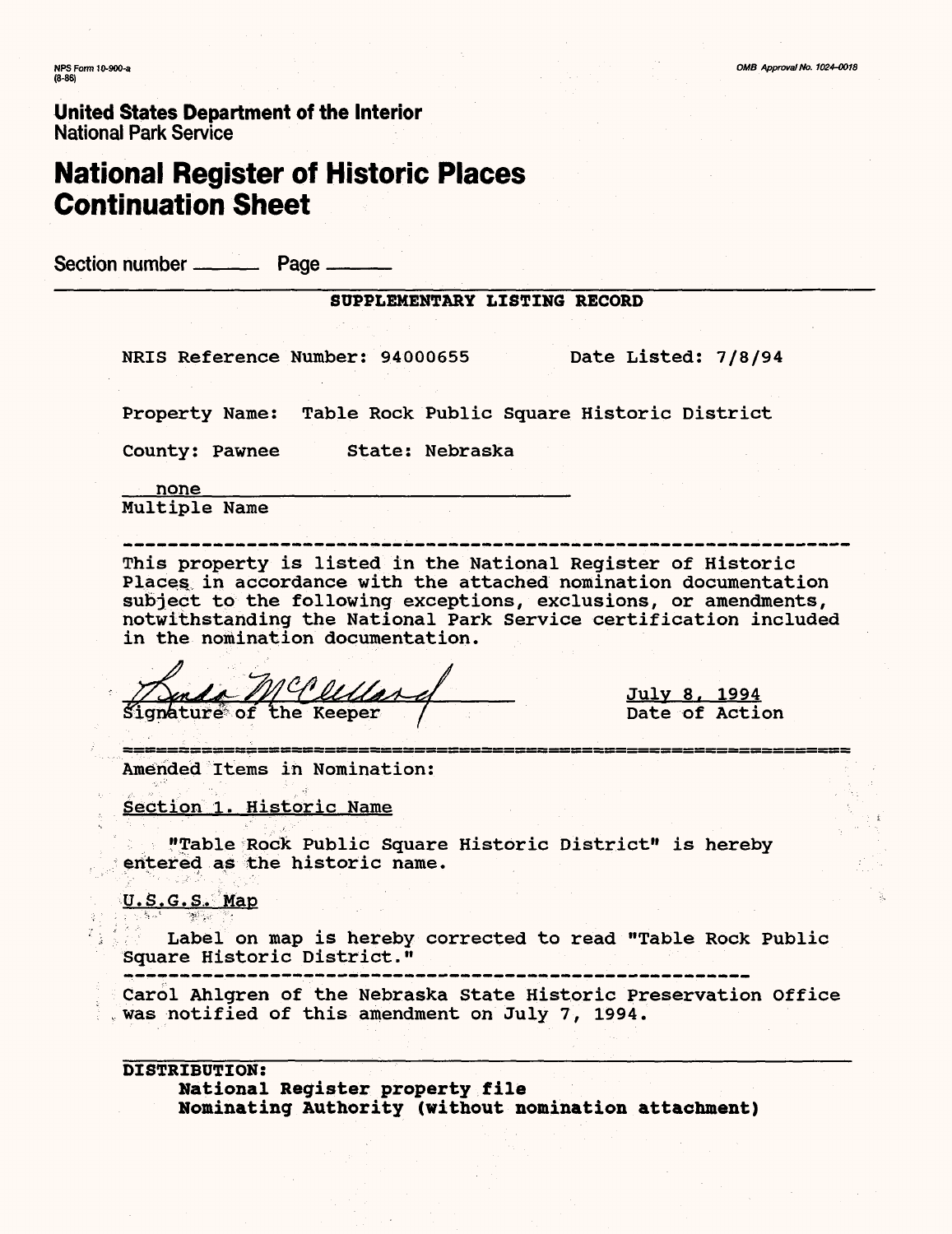# **National Register of Historic Places Continuation Sheet**

Section number ——\_ Page ———

### SUPPLEMENTARY LISTING RECORD

NRIS Reference Number: 94000655 Date Listed: 7/8/94

Property Name: Table Rock Public Square Historic District

County: Pawnee State: Nebraska

none\_\_\_\_\_\_\_\_\_\_\_\_\_\_\_\_\_\_\_\_\_\_\_\_\_ Multiple Name

This property is listed in the National Register of Historic Places in accordance with the attached nomination documentation subject to the following exceptions, exclusions, or amendments, notwithstanding the National Park Service certification included in the nomination documentation.

sl.gnkture\* of the Keeper / Date of Action

July 8, 1994

,=≈≈≈≈≈≈≈≈≈≈≈≈≈≈≈≈≈≈≈≈≈≈≈≈≈≈≈≈≈≈≈≈≈≈ Amended Items in Nomination:

Section 1. Historic Name

"Table Rock Public Square Historic District" is hereby entered as the historic name.

U.S.G.S. Map

Label on map is hereby corrected to read "Table Rock Public Square Historic District."

Carol Ahlgren of the Nebraska State Historic Preservation Office was notified of this amendment on July 7, 1994.

### **DISTRIBUTION:**

**National Register property file Nominating Authority (without nomination attachment)**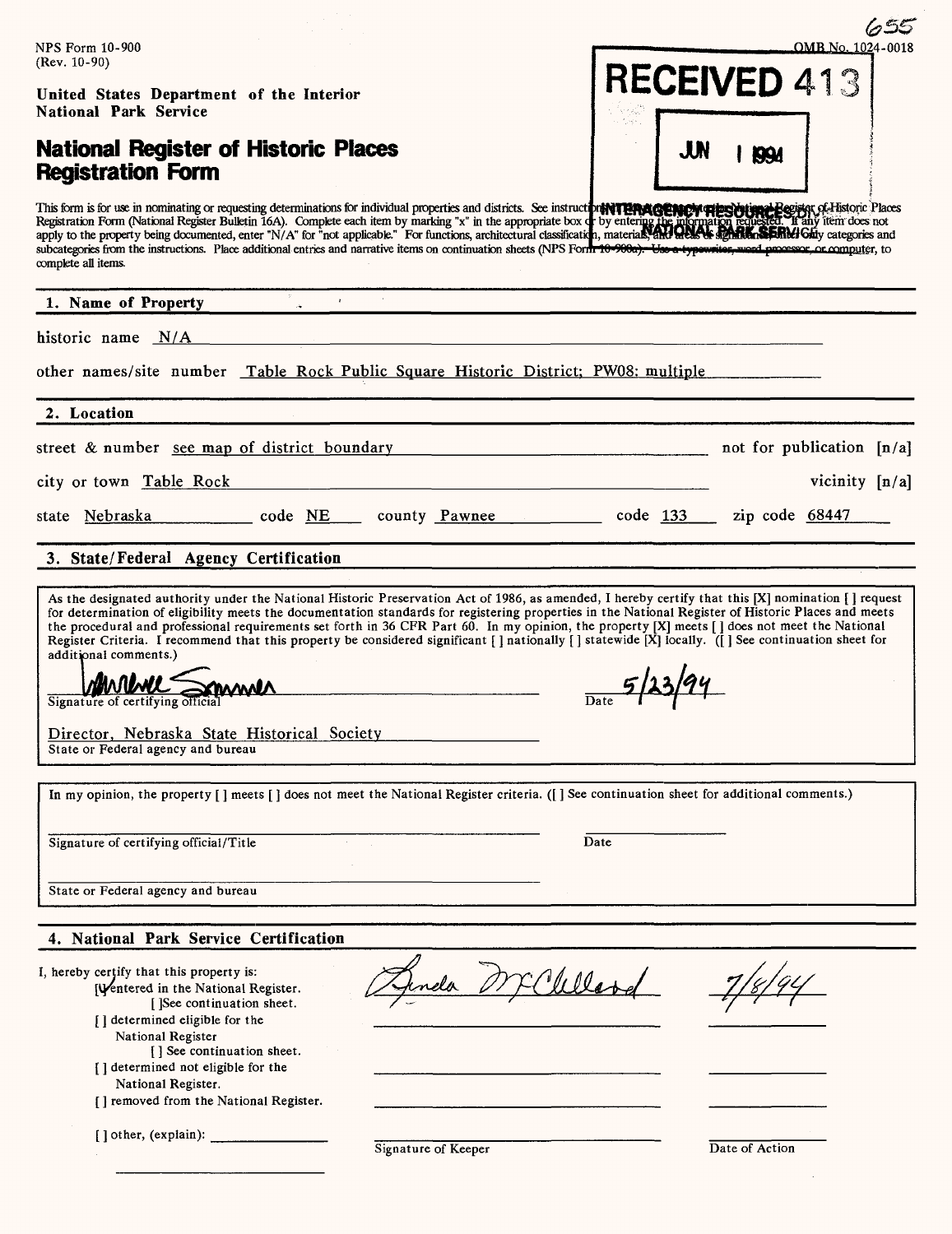| RECEIVED 413<br>JJN<br>This form is for use in nominating or requesting determinations for individual properties and districts. See instruction of a set of exaction of the set of exaction of the set of exaction of the set of exaction of the set<br>subcategories from the instructions. Place additional entries and narrative items on continuation sheets (NPS Form 10-980a). Use a typewriter, word processor, or computer, to<br>other names/site number Table Rock Public Square Historic District; PW08: multiple<br>street & number see map of district boundary not for publication [n/a]<br>city or town Table Rock and the contract of the contract of the contract of the contract of the contract of the contract of the contract of the contract of the contract of the contract of the contract of the contract of th<br>state Nebraska code NE county Pawnee code 133 zip code 68447<br>As the designated authority under the National Historic Preservation Act of 1986, as amended, I hereby certify that this [X] nomination [] request | 1.1994                                                                                                                                              | <b>OMB</b> No. 1024-0018<br>vicinity $[n/a]$ |  |
|----------------------------------------------------------------------------------------------------------------------------------------------------------------------------------------------------------------------------------------------------------------------------------------------------------------------------------------------------------------------------------------------------------------------------------------------------------------------------------------------------------------------------------------------------------------------------------------------------------------------------------------------------------------------------------------------------------------------------------------------------------------------------------------------------------------------------------------------------------------------------------------------------------------------------------------------------------------------------------------------------------------------------------------------------------------|-----------------------------------------------------------------------------------------------------------------------------------------------------|----------------------------------------------|--|
|                                                                                                                                                                                                                                                                                                                                                                                                                                                                                                                                                                                                                                                                                                                                                                                                                                                                                                                                                                                                                                                                |                                                                                                                                                     |                                              |  |
|                                                                                                                                                                                                                                                                                                                                                                                                                                                                                                                                                                                                                                                                                                                                                                                                                                                                                                                                                                                                                                                                |                                                                                                                                                     |                                              |  |
|                                                                                                                                                                                                                                                                                                                                                                                                                                                                                                                                                                                                                                                                                                                                                                                                                                                                                                                                                                                                                                                                |                                                                                                                                                     |                                              |  |
|                                                                                                                                                                                                                                                                                                                                                                                                                                                                                                                                                                                                                                                                                                                                                                                                                                                                                                                                                                                                                                                                |                                                                                                                                                     |                                              |  |
|                                                                                                                                                                                                                                                                                                                                                                                                                                                                                                                                                                                                                                                                                                                                                                                                                                                                                                                                                                                                                                                                |                                                                                                                                                     |                                              |  |
|                                                                                                                                                                                                                                                                                                                                                                                                                                                                                                                                                                                                                                                                                                                                                                                                                                                                                                                                                                                                                                                                |                                                                                                                                                     |                                              |  |
|                                                                                                                                                                                                                                                                                                                                                                                                                                                                                                                                                                                                                                                                                                                                                                                                                                                                                                                                                                                                                                                                |                                                                                                                                                     |                                              |  |
|                                                                                                                                                                                                                                                                                                                                                                                                                                                                                                                                                                                                                                                                                                                                                                                                                                                                                                                                                                                                                                                                |                                                                                                                                                     |                                              |  |
|                                                                                                                                                                                                                                                                                                                                                                                                                                                                                                                                                                                                                                                                                                                                                                                                                                                                                                                                                                                                                                                                |                                                                                                                                                     |                                              |  |
|                                                                                                                                                                                                                                                                                                                                                                                                                                                                                                                                                                                                                                                                                                                                                                                                                                                                                                                                                                                                                                                                |                                                                                                                                                     |                                              |  |
|                                                                                                                                                                                                                                                                                                                                                                                                                                                                                                                                                                                                                                                                                                                                                                                                                                                                                                                                                                                                                                                                |                                                                                                                                                     |                                              |  |
|                                                                                                                                                                                                                                                                                                                                                                                                                                                                                                                                                                                                                                                                                                                                                                                                                                                                                                                                                                                                                                                                |                                                                                                                                                     |                                              |  |
|                                                                                                                                                                                                                                                                                                                                                                                                                                                                                                                                                                                                                                                                                                                                                                                                                                                                                                                                                                                                                                                                |                                                                                                                                                     |                                              |  |
| the procedural and professional requirements set forth in 36 CFR Part 60. In my opinion, the property [X] meets [] does not meet the National<br>Register Criteria. I recommend that this property be considered significant [] nationally [] statewide $[X]$ locally. (1) See continuation sheet for<br>5/23/94                                                                                                                                                                                                                                                                                                                                                                                                                                                                                                                                                                                                                                                                                                                                               | for determination of eligibility meets the documentation standards for registering properties in the National Register of Historic Places and meets |                                              |  |
| In my opinion, the property [] meets [] does not meet the National Register criteria. ([] See continuation sheet for additional comments.)                                                                                                                                                                                                                                                                                                                                                                                                                                                                                                                                                                                                                                                                                                                                                                                                                                                                                                                     |                                                                                                                                                     |                                              |  |
|                                                                                                                                                                                                                                                                                                                                                                                                                                                                                                                                                                                                                                                                                                                                                                                                                                                                                                                                                                                                                                                                |                                                                                                                                                     |                                              |  |
|                                                                                                                                                                                                                                                                                                                                                                                                                                                                                                                                                                                                                                                                                                                                                                                                                                                                                                                                                                                                                                                                |                                                                                                                                                     |                                              |  |
|                                                                                                                                                                                                                                                                                                                                                                                                                                                                                                                                                                                                                                                                                                                                                                                                                                                                                                                                                                                                                                                                |                                                                                                                                                     |                                              |  |
|                                                                                                                                                                                                                                                                                                                                                                                                                                                                                                                                                                                                                                                                                                                                                                                                                                                                                                                                                                                                                                                                |                                                                                                                                                     |                                              |  |
| Wellang                                                                                                                                                                                                                                                                                                                                                                                                                                                                                                                                                                                                                                                                                                                                                                                                                                                                                                                                                                                                                                                        |                                                                                                                                                     |                                              |  |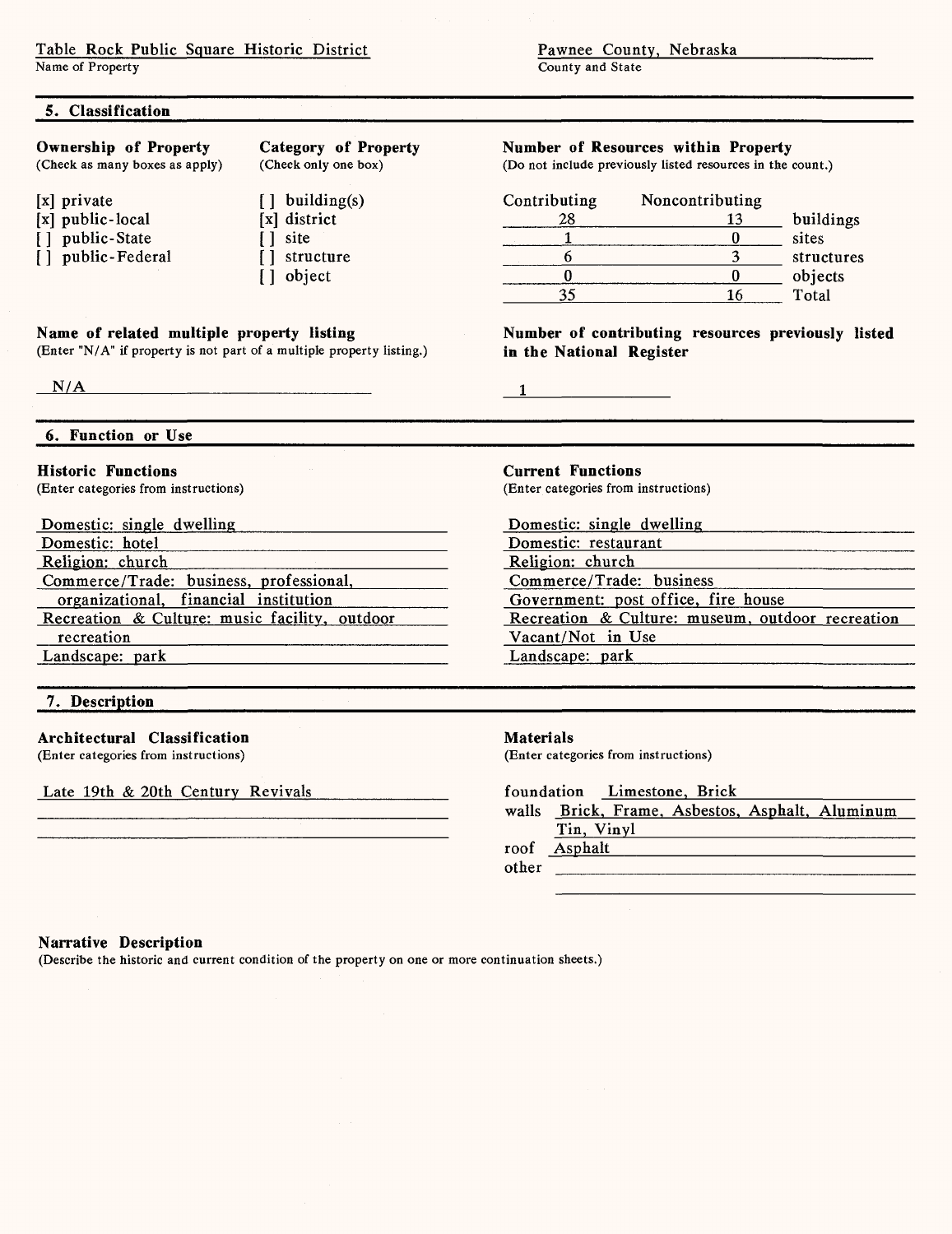# Table Rock Public Square Historic District

### Name of Property

## Pawnee County, Nebraska

Tin, Vinyl

<u> 1989 - Johann Barbara, martxa alemaniar a</u>

roof Asphalt other \_\_\_\_

County and State

### **5. Classification**

| <b>Ownership of Property</b><br>(Check as many boxes as apply)                                                                                                                                                                                                   | <b>Category of Property</b><br>(Check only one box)                                                   |                                                                                                                                                                                  | <b>Number of Resources within Property</b><br>(Do not include previously listed resources in the count.)             |                                                      |
|------------------------------------------------------------------------------------------------------------------------------------------------------------------------------------------------------------------------------------------------------------------|-------------------------------------------------------------------------------------------------------|----------------------------------------------------------------------------------------------------------------------------------------------------------------------------------|----------------------------------------------------------------------------------------------------------------------|------------------------------------------------------|
| [x] private<br>[x] public-local<br>[] public-State<br>[] public-Federal                                                                                                                                                                                          | $\lceil \cdot \rceil$ building(s)<br>[x] district<br>site<br>Ħ<br>$\mathsf{L}$<br>structure<br>object | Contributing<br>28<br>$\mathbf{1}$<br>6<br>$\mathbf{0}$<br>35                                                                                                                    | Noncontributing<br>13<br>$\bf{0}$<br>3<br>$\bf{0}$<br>16                                                             | buildings<br>sites<br>structures<br>objects<br>Total |
| Name of related multiple property listing<br>(Enter "N/A" if property is not part of a multiple property listing.)<br>N/A                                                                                                                                        |                                                                                                       | in the National Register                                                                                                                                                         | Number of contributing resources previously listed                                                                   |                                                      |
| 6. Function or Use                                                                                                                                                                                                                                               |                                                                                                       |                                                                                                                                                                                  |                                                                                                                      |                                                      |
| <b>Historic Functions</b><br>(Enter categories from instructions)<br>Domestic: single dwelling<br>Domestic: hotel<br>Religion: church<br>organizational, financial institution<br>Recreation & Culture: music facility, outdoor<br>recreation<br>Landscape: park | Commerce/Trade: business, professional,                                                               | <b>Current Functions</b><br>(Enter categories from instructions)<br>Domestic: restaurant<br>Religion: church<br>Commerce/Trade: business<br>Vacant/Not in Use<br>Landscape: park | Domestic: single dwelling<br>Government: post office, fire house<br>Recreation & Culture: museum, outdoor recreation |                                                      |
| 7. Description                                                                                                                                                                                                                                                   |                                                                                                       |                                                                                                                                                                                  |                                                                                                                      |                                                      |
| Architectural Classification<br>(Enter categories from instructions)                                                                                                                                                                                             |                                                                                                       | <b>Materials</b><br>(Enter categories from instructions)                                                                                                                         |                                                                                                                      |                                                      |
| Late 19th & 20th Century Revivals                                                                                                                                                                                                                                |                                                                                                       | foundation Limestone, Brick<br>walls                                                                                                                                             | Brick, Frame, Asbestos, Asphalt, Aluminum                                                                            |                                                      |

### **Narrative Description**

(Describe the historic and current condition of the property on one or more continuation sheets.)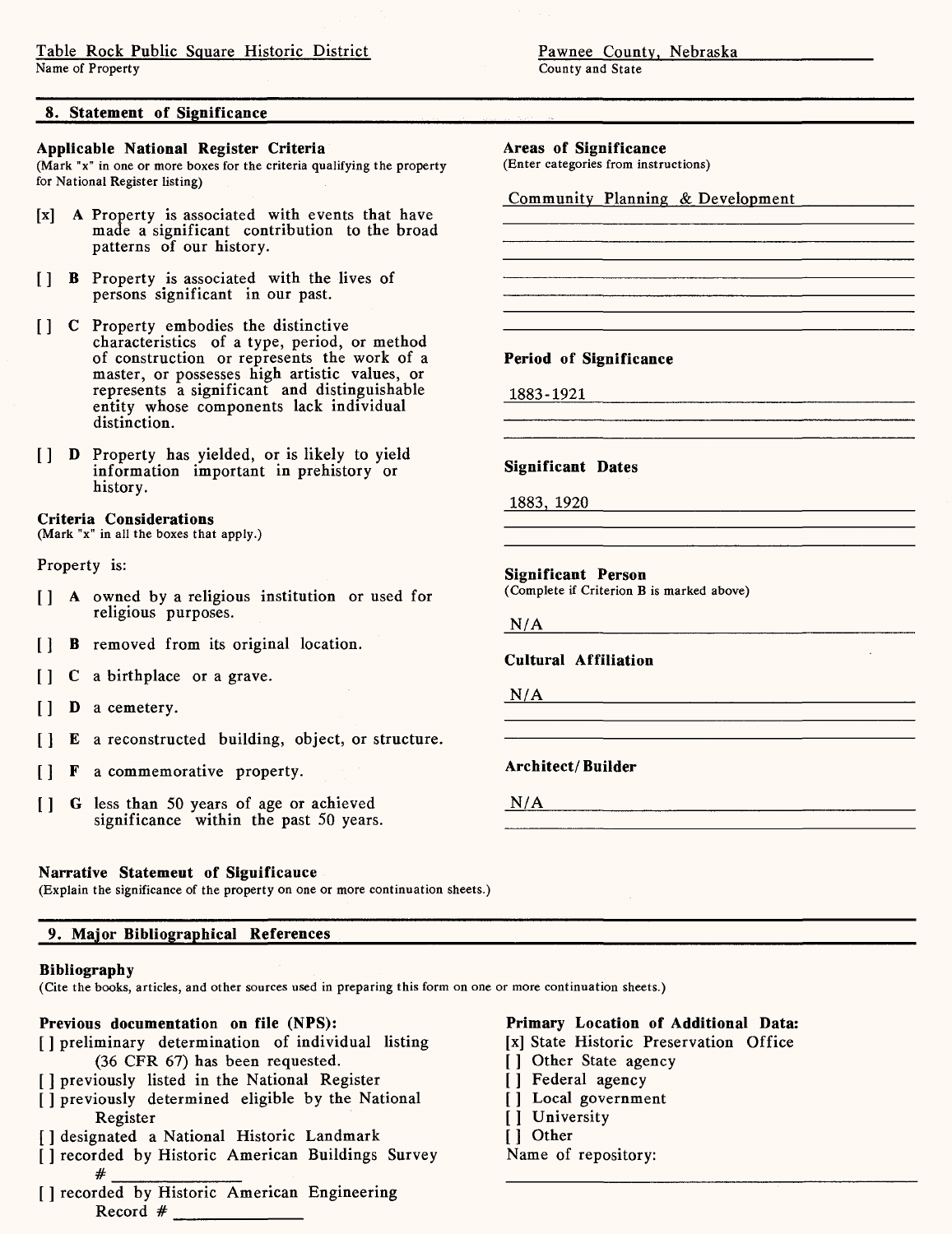Name of Property

### **8. Statement of Significance**

### **Applicable National Register Criteria**

(Mark "x" in one or more boxes for the criteria qualifying the property for National Register listing)

- [x] A Property is associated with events that have made a significant contribution to the broad patterns of our history.
- [ ] B Property is associated with the lives of persons significant in our past.
- [ ] C Property embodies the distinctive characteristics of a type, period, or method of construction or represents the work of a master, or possesses high artistic values, or represents a significant and distinguishable entity whose components lack individual distinction.
- [ ] D Property has yielded, or is likely to yield information important in prehistory or history.

## **Criteria Considerations**

(Mark "x" in all the boxes that apply.)

Property is:

- [ ] A owned by a religious institution or used for religious purposes.
- [ ] **B** removed from its original location.
- [ ] C a birthplace or a grave.
- [ ] **D** a cemetery.
- [ ] E a reconstructed building, object, or structure.
- [] **F** a commemorative property.
- [ ] G less than 50 years of age or achieved significance within the past 50 years.

### **Narrative Statement of Significance**

(Explain the significance of the property on one or more continuation sheets.)

### **9. Major Bibliographical References**

#### **Bibliography**

(Cite the books, articles, and other sources used in preparing this form on one or more continuation sheets.)

### **Previous documentation on file** (NPS):

- [ ] preliminary determination of individual listing (36 CFR 67) has been requested.
- [ ] previously listed in the National Register
- [ ] previously determined eligible by the National Register
- [ ] designated a National Historic Landmark
- [ ] recorded by Historic American Buildings Survey
- #\_\_\_\_\_\_\_\_\_\_\_ [ ] recorded by Historic American Engineering Record # \_\_\_\_\_\_\_\_

### Pawnee County, Nebraska

County and State

### **Areas of Significance**

(Enter categories from instructions)

Community Planning & Development

and the contract of the contract of the contract of the contract of the contract of the contract of the contract of

### **Period of Significance**

1883-1921\_\_\_\_\_\_\_\_

**Significant Dates**

1883, 1920\_\_\_\_\_\_\_\_\_\_\_

### **Significant Person**

(Complete if Criterion B is marked above)

### $N/A$

**Cultural Affiliation**

 $N/A$ 

### **Architect/Builder**

N/A**\_\_\_\_\_**

### **Primary Location of Additional Data:**

- [x] State Historic Preservation Office
- [] Other State agency
- [ ] Federal agency
- [ ] Local government
- [ ] University
- [] Other
- Name of repository: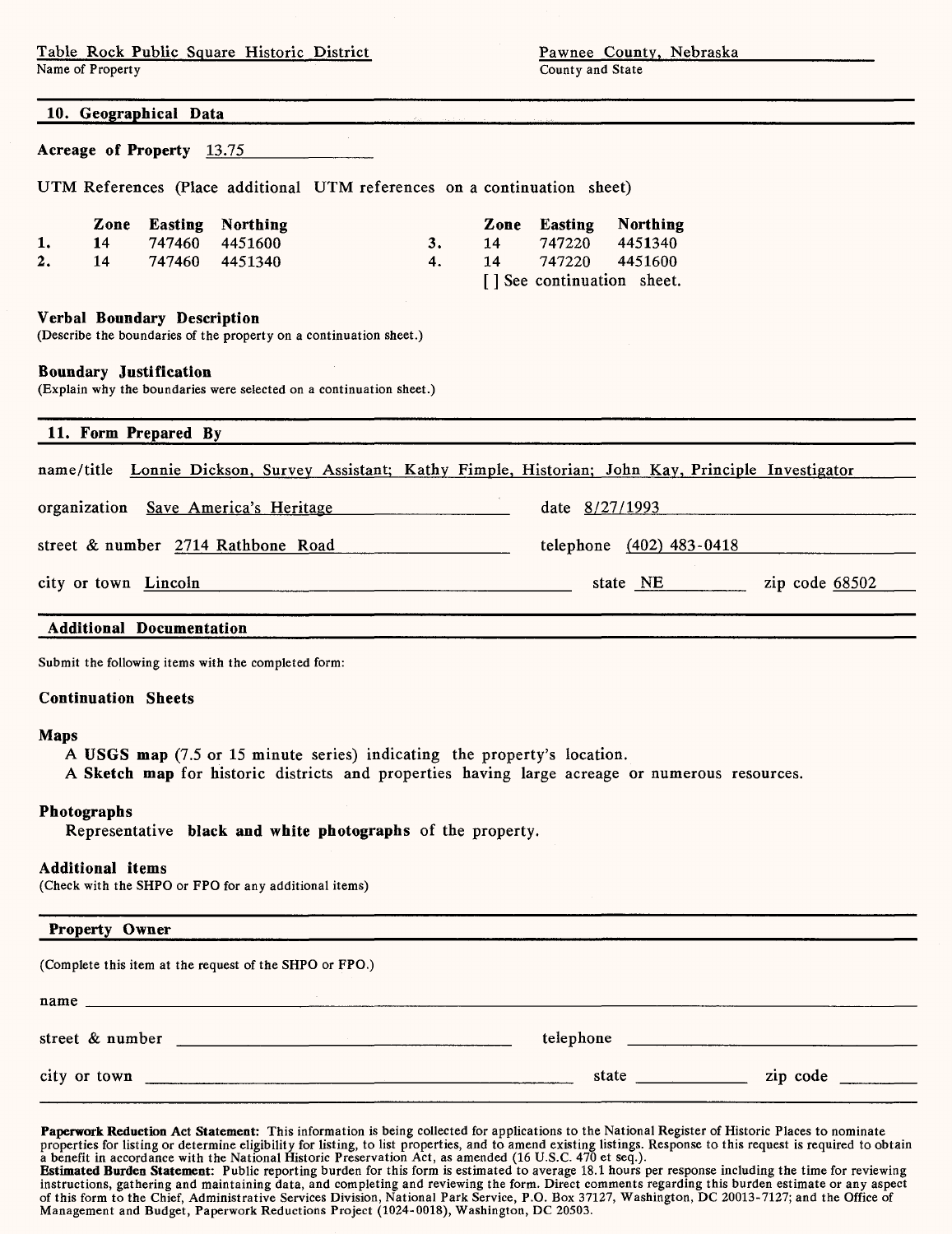Table Rock Public Square Historic District<br>
Name of Property<br>
Name of Property Name of Property

**10. Geographical Data\_\_\_\_\_\_\_\_\_\_\_\_\_ ... \_\_\_\_\_\_\_\_\_\_\_\_\_\_\_\_** 

**Acreage of Property** 13.75\_\_\_\_\_\_\_\_\_\_\_

UTM References (Place additional UTM references on a continuation sheet)

|      | Zone Easting Northing |  |           | Zone Easting Northing     |
|------|-----------------------|--|-----------|---------------------------|
| - 14 | 747460 4451600        |  | 14 747220 | 4451340                   |
| - 14 | 747460 4451340        |  |           | 14 747220 4451600         |
|      |                       |  |           | [ See continuation sheet. |

### **Verbal Boundary Description**

(Describe the boundaries of the property on a continuation sheet.)

#### **Boundary Justification**

(Explain why the boundaries were selected on a continuation sheet.)

### 11. Form Prepared By

| name/title Lonnie Dickson, Survey Assistant; Kathy Fimple, Historian; John Kay, Principle Investigator |                            |
|--------------------------------------------------------------------------------------------------------|----------------------------|
| organization Save America's Heritage                                                                   | date $8/27/1993$           |
| street & number 2714 Rathbone Road                                                                     | telephone $(402)$ 483-0418 |
| city or town Lincoln                                                                                   | zip code 68502<br>state NE |
|                                                                                                        |                            |

### **Additional Documentation\_\_\_\_\_\_\_\_\_\_\_\_\_\_\_\_\_\_\_\_\_\_\_\_\_\_\_\_\_\_\_\_\_\_\_\_\_\_\_\_\_\_\_\_\_\_\_\_\_\_\_\_\_\_**

Submit the following items with the completed form:

### **Continuation Sheets**

#### **Maps**

**A USGS map** (7.5 or 15 minute series) indicating the property's location.

street & number telephone

Management and Budget, Paperwork Reductions Project (1024-0018), Washington, DC 20503.

**A Sketch map** for historic districts and properties having large acreage or numerous resources.

#### **Photographs**

Representative **black and white photographs** of the property.

#### **Additional items**

(Check with the SHPO or FPO for any additional items)

| Property Owner                                          |  |  |
|---------------------------------------------------------|--|--|
| (Complete this item at the request of the SHPO or FPO.) |  |  |
| name                                                    |  |  |

| city or town | state | zip code |
|--------------|-------|----------|
|              |       |          |

**Paperwork Reduction** Act **Statement:** This information is being collected for applications to the National Register of Historic Places to nominate properties for listing or determine eligibility for listing, to list properties, and to amend existing listings. Response to this request is required to obtain<br>a benefit in accordance with the National Historic Preservatio Estimated Burden Statement: Public reporting burden for this form is estimated to average 18.1 hours per response including the time for reviewing<br>instructions, gathering and maintaining data, and completing and reviewing of this form to the Chief, Administrative Services Division, National Park Service, P.O. Box 37127, Washington, DC 20013-7127; and the Office of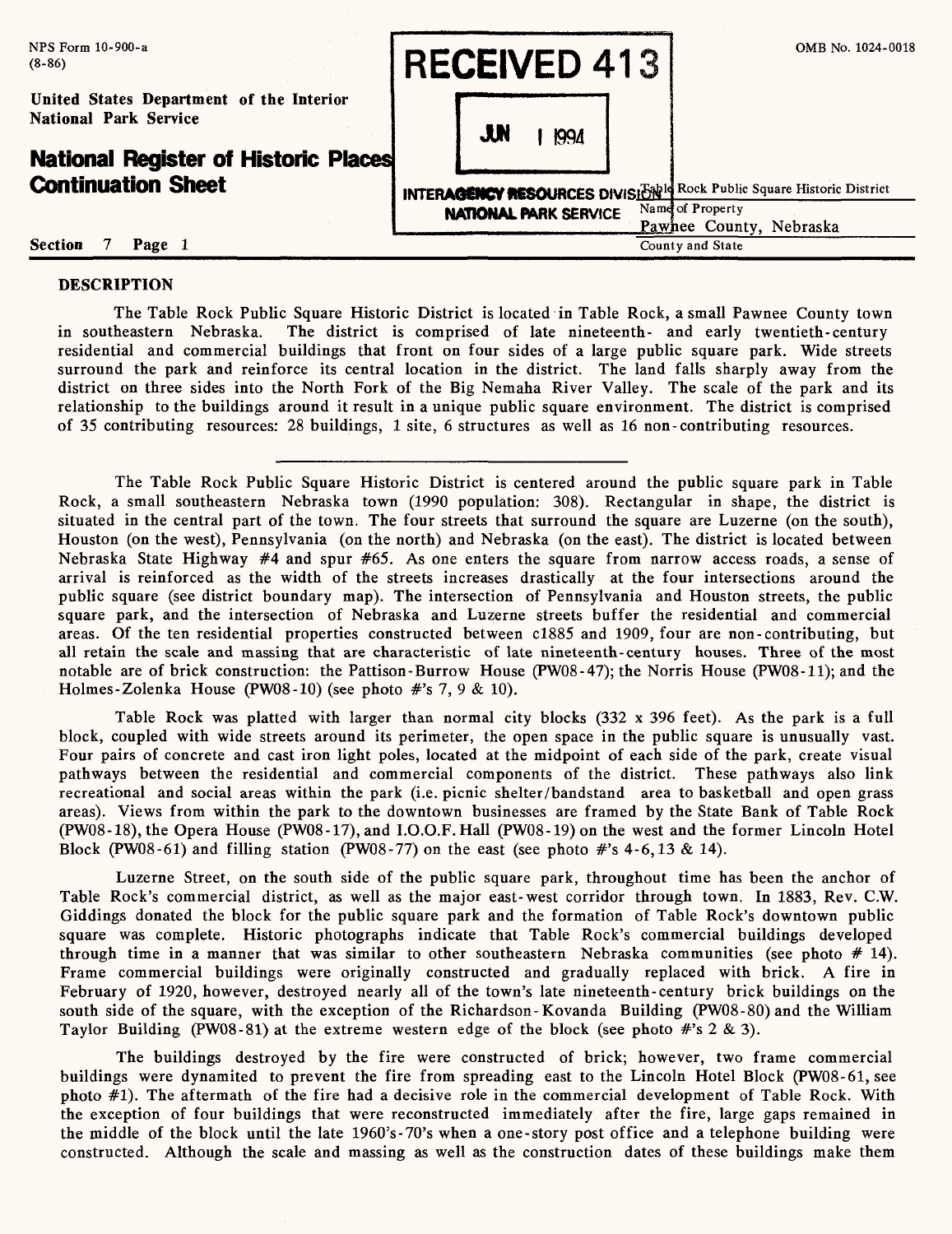| NPS Form 10-900-a<br>$(8-86)$                                            | <b>RECEIVED 413</b>                                                    | OMB No. 1024-0018                           |
|--------------------------------------------------------------------------|------------------------------------------------------------------------|---------------------------------------------|
| United States Department of the Interior<br><b>National Park Service</b> | JJN<br><u>1994</u>                                                     |                                             |
| <b>National Register of Historic Places</b><br><b>Continuation Sheet</b> | <b>INTERAGENCY RESOURCES DIVIS FOR PUBLIC Square Historic District</b> | Name of Property                            |
| <b>Section</b><br>Page 1                                                 | <b>NATIONAL PARK SERVICE</b>                                           | Pawnee County, Nebraska<br>County and State |

#### **DESCRIPTION**

The Table Rock Public Square Historic District is located in Table Rock, a small Pawnee County town The district is comprised of late nineteenth- and early twentieth-century residential and commercial buildings that front on four sides of a large public square park. Wide streets surround the park and reinforce its central location in the district. The land falls sharply away from the district on three sides into the North Fork of the Big Nemaha River Valley. The scale of the park and its relationship to the buildings around it result in a unique public square environment. The district is comprised of 35 contributing resources: 28 buildings, 1 site, 6 structures as well as 16 non-contributing resources.

The Table Rock Public Square Historic District is centered around the public square park in Table Rock, a small southeastern Nebraska town (1990 population: 308). Rectangular in shape, the district is situated in the central part of the town. The four streets that surround the square are Luzerne (on the south), Houston (on the west), Pennsylvania (on the north) and Nebraska (on the east). The district is located between Nebraska State Highway #4 and spur #65. As one enters the square from narrow access roads, a sense of arrival is reinforced as the width of the streets increases drastically at the four intersections around the public square (see district boundary map). The intersection of Pennsylvania and Houston streets, the public square park, and the intersection of Nebraska and Luzerne streets buffer the residential and commercial areas. Of the ten residential properties constructed between c!885 and 1909, four are non-contributing, but all retain the scale and massing that are characteristic of late nineteenth-century houses. Three of the most notable are of brick construction: the Pattison-Burrow House (PW08-47); the Norris House (PW08-11); and the Holmes-Zolenka House (PW08-10) (see photo #'s 7, 9 & 10).

Table Rock was platted with larger than normal city blocks (332 x 396 feet). As the park is a full block, coupled with wide streets around its perimeter, the open space in the public square is unusually vast. Four pairs of concrete and cast iron light poles, located at the midpoint of each side of the park, create visual pathways between the residential and commercial components of the district. These pathways also link recreational and social areas within the park (i.e. picnic shelter/bandstand area to basketball and open grass areas). Views from within the park to the downtown businesses are framed by the State Bank of Table Rock (PW08-18),the Opera House (PW08-17),and I.O.O.F.Hall (PW08-19) on the west and the former Lincoln Hotel Block (PW08-61) and filling station (PW08-77) on the east (see photo  $\#$ 's 4-6,13 & 14).

Luzerne Street, on the south side of the public square park, throughout time has been the anchor of Table Rock's commercial district, as well as the major east-west corridor through town. In 1883, Rev. C.W. Giddings donated the block for the public square park and the formation of Table Rock's downtown public square was complete. Historic photographs indicate that Table Rock's commercial buildings developed through time in a manner that was similar to other southeastern Nebraska communities (see photo # 14). Frame commercial buildings were originally constructed and gradually replaced with brick. A fire in February of 1920, however, destroyed nearly all of the town's late nineteenth-century brick buildings on the south side of the square, with the exception of the Richardson-Kovanda Building (PW08-80) and the William Taylor Building (PW08-81) at the extreme western edge of the block (see photo  $\#$ 's 2 & 3).

The buildings destroyed by the fire were constructed of brick; however, two frame commercial buildings were dynamited to prevent the fire from spreading east to the Lincoln Hotel Block (PW08-61, see photo #1). The aftermath of the fire had a decisive role in the commercial development of Table Rock. With the exception of four buildings that were reconstructed immediately after the fire, large gaps remained in the middle of the block until the late 1960's-70's when a one-story post office and a telephone building were constructed. Although the scale and massing as well as the construction dates of these buildings make them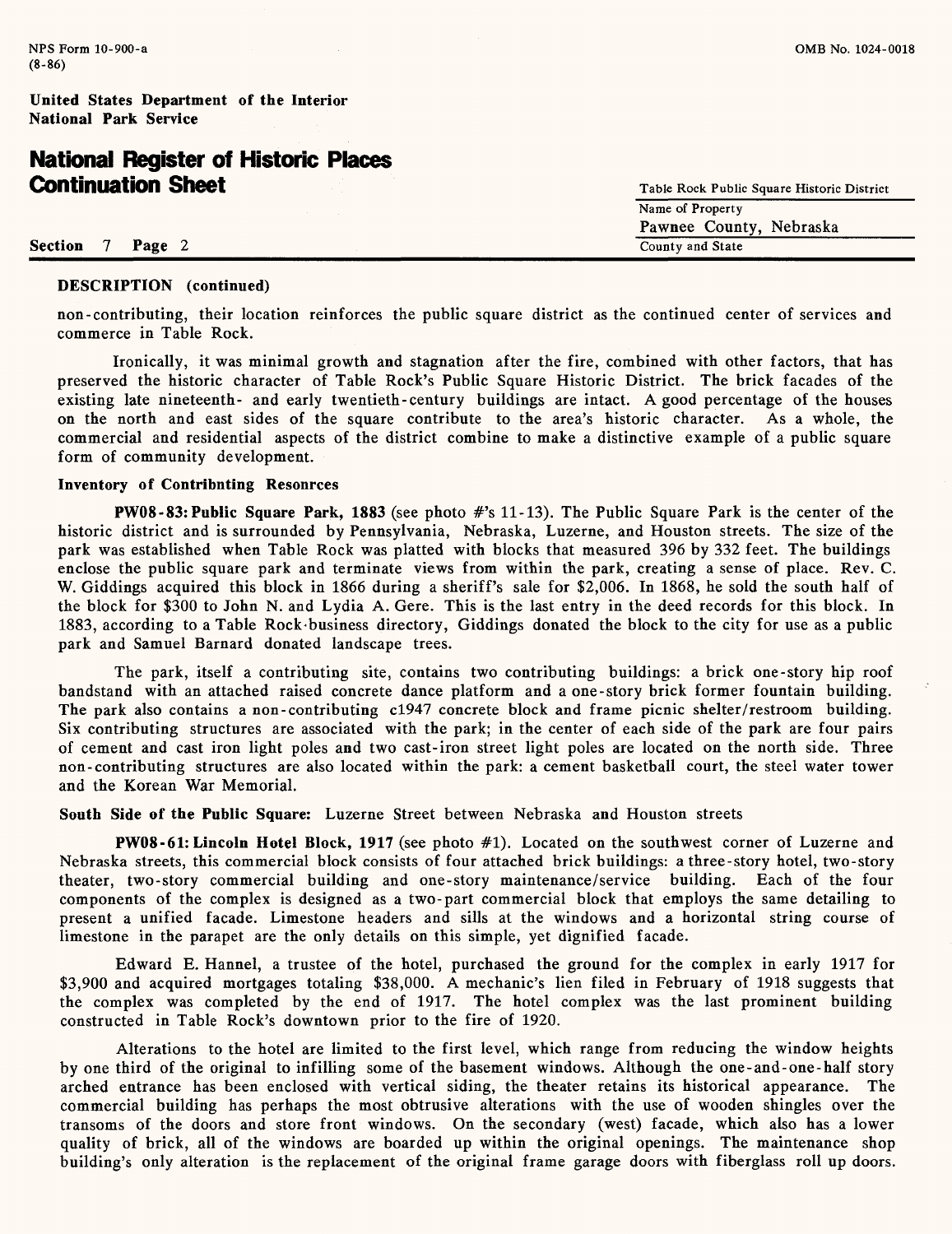## **National Register of Historic Places Continuation Sheet**

| Continuation Sneet |                         | Table Rock Public Square Historic District |
|--------------------|-------------------------|--------------------------------------------|
|                    |                         | Name of Property                           |
|                    | Pawnee County, Nebraska |                                            |
| Section            | Page 2                  | County and State                           |

### **DESCRIPTION (continued)**

non-contributing, their location reinforces the public square district as the continued center of services and commerce in Table Rock.

Ironically, it was minimal growth and stagnation after the fire, combined with other factors, that has preserved the historic character of Table Rock's Public Square Historic District. The brick facades of the existing late nineteenth- and early twentieth-century buildings are intact. A good percentage of the houses on the north and east sides of the square contribute to the area's historic character. As a whole, the commercial and residential aspects of the district combine to make a distinctive example of a public square form of community development.

### **Inventory of Contributing Resources**

**PW08-83: Public Square Park,** 1883 (see photo #'s 11-13). The Public Square Park is the center of the historic district and is surrounded by Pennsylvania, Nebraska, Luzerne, and Houston streets. The size of the park was established when Table Rock was platted with blocks that measured 396 by 332 feet. The buildings enclose the public square park and terminate views from within the park, creating a sense of place. Rev. C. W. Giddings acquired this block in 1866 during a sheriff's sale for \$2,006. In 1868, he sold the south half of the block for \$300 to John N. and Lydia A. Gere. This is the last entry in the deed records for this block. In 1883, according to a Table Rock-business directory, Giddings donated the block to the city for use as a public park and Samuel Barnard donated landscape trees.

The park, itself a contributing site, contains two contributing buildings: a brick one-story hip roof bandstand with an attached raised concrete dance platform and a one-story brick former fountain building. The park also contains a non-contributing c1947 concrete block and frame picnic shelter/restroom building. Six contributing structures are associated with the park; in the center of each side of the park are four pairs of cement and cast iron light poles and two cast-iron street light poles are located on the north side. Three non-contributing structures are also located within the park: a cement basketball court, the steel water tower and the Korean War Memorial.

**South Side of the Public Square:** Luzerne Street between Nebraska and Houston streets

**PW08-61: Lincoln Hotel Block, 1917** (see photo #1). Located on the southwest corner of Luzerne and Nebraska streets, this commercial block consists of four attached brick buildings: a three-story hotel, two-story theater, two-story commercial building and one-story maintenance/service building. Each of the four components of the complex is designed as a two-part commercial block that employs the same detailing to present a unified facade. Limestone headers and sills at the windows and a horizontal string course of limestone in the parapet are the only details on this simple, yet dignified facade.

Edward E. Hannel, a trustee of the hotel, purchased the ground for the complex in early 1917 for \$3,900 and acquired mortgages totaling \$38,000. A mechanic's lien filed in February of 1918 suggests that the complex was completed by the end of 1917. The hotel complex was the last prominent building constructed in Table Rock's downtown prior to the fire of 1920.

Alterations to the hotel are limited to the first level, which range from reducing the window heights by one third of the original to infilling some of the basement windows. Although the one-and-one-half story arched entrance has been enclosed with vertical siding, the theater retains its historical appearance. The commercial building has perhaps the most obtrusive alterations with the use of wooden shingles over the transoms of the doors and store front windows. On the secondary (west) facade, which also has a lower quality of brick, all of the windows are boarded up within the original openings. The maintenance shop building's only alteration is the replacement of the original frame garage doors with fiberglass roll up doors.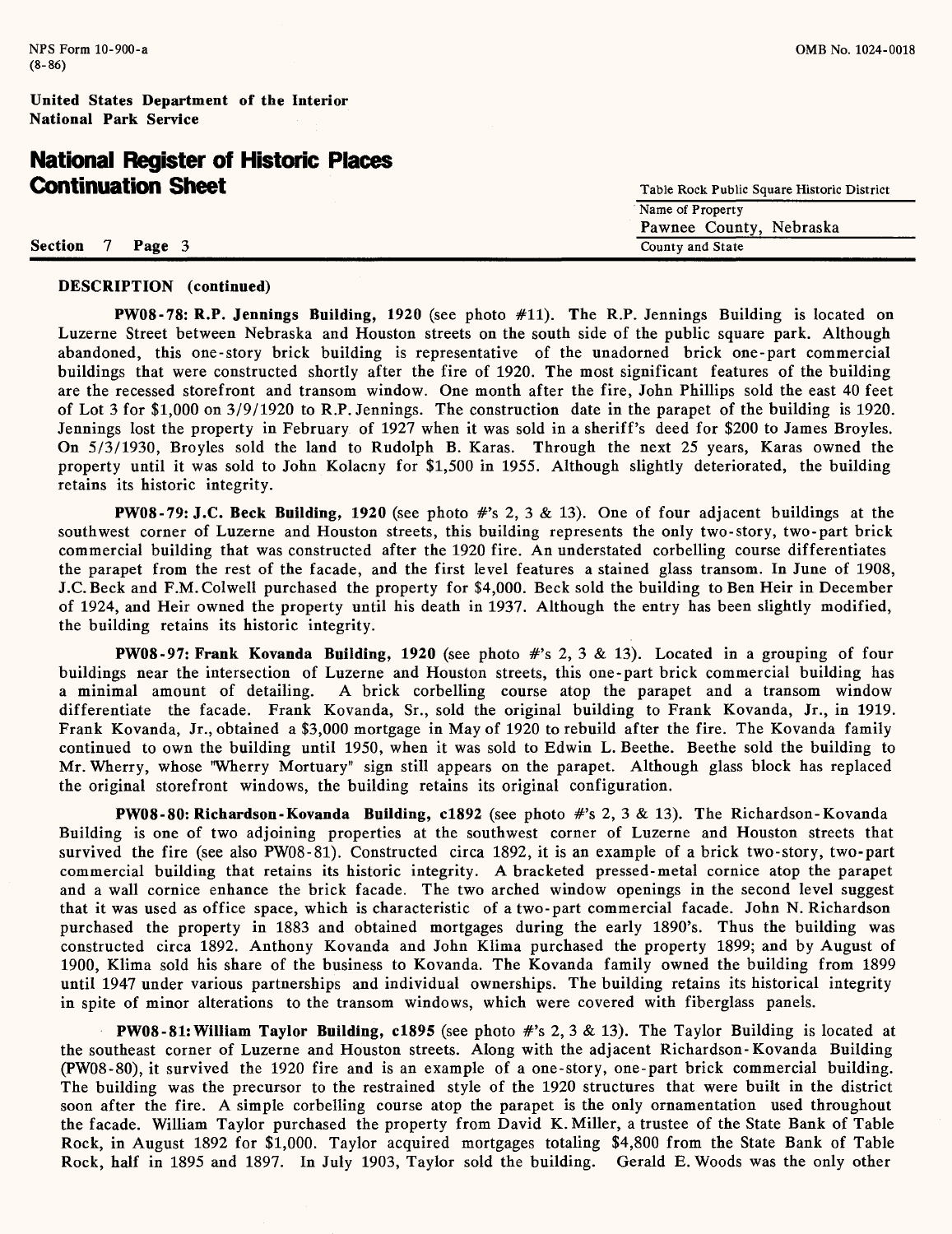## **National Register of Historic Places Continuation Sheet**

| continuation sneet | Table Rock Public Square Historic District |
|--------------------|--------------------------------------------|
|                    | Name of Property                           |
|                    | Pawnee County, Nebraska                    |
| Section<br>Page 3  | County and State                           |

#### **DESCRIPTION (continued)**

**PW08-78: R.P. Jennings Building, 1920** (see photo #11). The R.P. Jennings Building is located on Luzerne Street between Nebraska and Houston streets on the south side of the public square park. Although abandoned, this one-story brick building is representative of the unadorned brick one-part commercial buildings that were constructed shortly after the fire of 1920. The most significant features of the building are the recessed storefront and transom window. One month after the fire, John Phillips sold the east 40 feet of Lot 3 for \$1,000 on 3/9/1920 to R.P. Jennings. The construction date in the parapet of the building is 1920. Jennings lost the property in February of 1927 when it was sold in a sheriff's deed for \$200 to James Broyles. On 5/3/1930, Broyles sold the land to Rudolph B. Karas. Through the next 25 years, Karas owned the property until it was sold to John Kolacny for \$1,500 in 1955. Although slightly deteriorated, the building retains its historic integrity.

**PW08-79: J.C. Beck Building, 1920** (see photo #'s 2, 3 & 13). One of four adjacent buildings at the southwest corner of Luzerne and Houston streets, this building represents the only two-story, two-part brick commercial building that was constructed after the 1920 fire. An understated corbelling course differentiates the parapet from the rest of the facade, and the first level features a stained glass transom. In June of 1908, J.C. Beck and F.M.Colwell purchased the property for \$4,000. Beck sold the building to Ben Heir in December of 1924, and Heir owned the property until his death in 1937. Although the entry has been slightly modified, the building retains its historic integrity.

**PW08-97: Frank Kovanda Building, 1920** (see photo #'s 2, 3 & 13). Located in a grouping of four buildings near the intersection of Luzerne and Houston streets, this one-part brick commercial building has a minimal amount of detailing. A brick corbelling course atop the parapet and a transom window differentiate the facade. Frank Kovanda, Sr., sold the original building to Frank Kovanda, Jr., in 1919. Frank Kovanda, Jr., obtained a \$3,000 mortgage in May of 1920 to rebuild after the fire. The Kovanda family continued to own the building until 1950, when it was sold to Edwin L. Beethe. Beethe sold the building to Mr. Wherry, whose "Wherry Mortuary" sign still appears on the parapet. Although glass block has replaced the original storefront windows, the building retains its original configuration.

**PW08-80: Richardson-Kovanda Building, c!892** (see photo #'s 2, 3 & 13). The Richardson-Kovanda Building is one of two adjoining properties at the southwest corner of Luzerne and Houston streets that survived the fire (see also PW08-81). Constructed circa 1892, it is an example of a brick two-story, two-part commercial building that retains its historic integrity. A bracketed pressed-metal cornice atop the parapet and a wall cornice enhance the brick facade. The two arched window openings in the second level suggest that it was used as office space, which is characteristic of a two-part commercial facade. John N. Richardson purchased the property in 1883 and obtained mortgages during the early 1890's. Thus the building was constructed circa 1892. Anthony Kovanda and John Klima purchased the property 1899; and by August of 1900, Klima sold his share of the business to Kovanda. The Kovanda family owned the building from 1899 until 1947 under various partnerships and individual ownerships. The building retains its historical integrity in spite of minor alterations to the transom windows, which were covered with fiberglass panels.

**PW08-81: William Taylor Building, c!895** (see photo #'s 2, 3 & 13). The Taylor Building is located at the southeast corner of Luzerne and Houston streets. Along with the adjacent Richardson-Kovanda Building (PW08-80), it survived the 1920 fire and is an example of a one-story, one-part brick commercial building. The building was the precursor to the restrained style of the 1920 structures that were built in the district soon after the fire. A simple corbelling course atop the parapet is the only ornamentation used throughout the facade. William Taylor purchased the property from David K. Miller, a trustee of the State Bank of Table Rock, in August 1892 for \$1,000. Taylor acquired mortgages totaling \$4,800 from the State Bank of Table Rock, half in 1895 and 1897. In July 1903, Taylor sold the building. Gerald E. Woods was the only other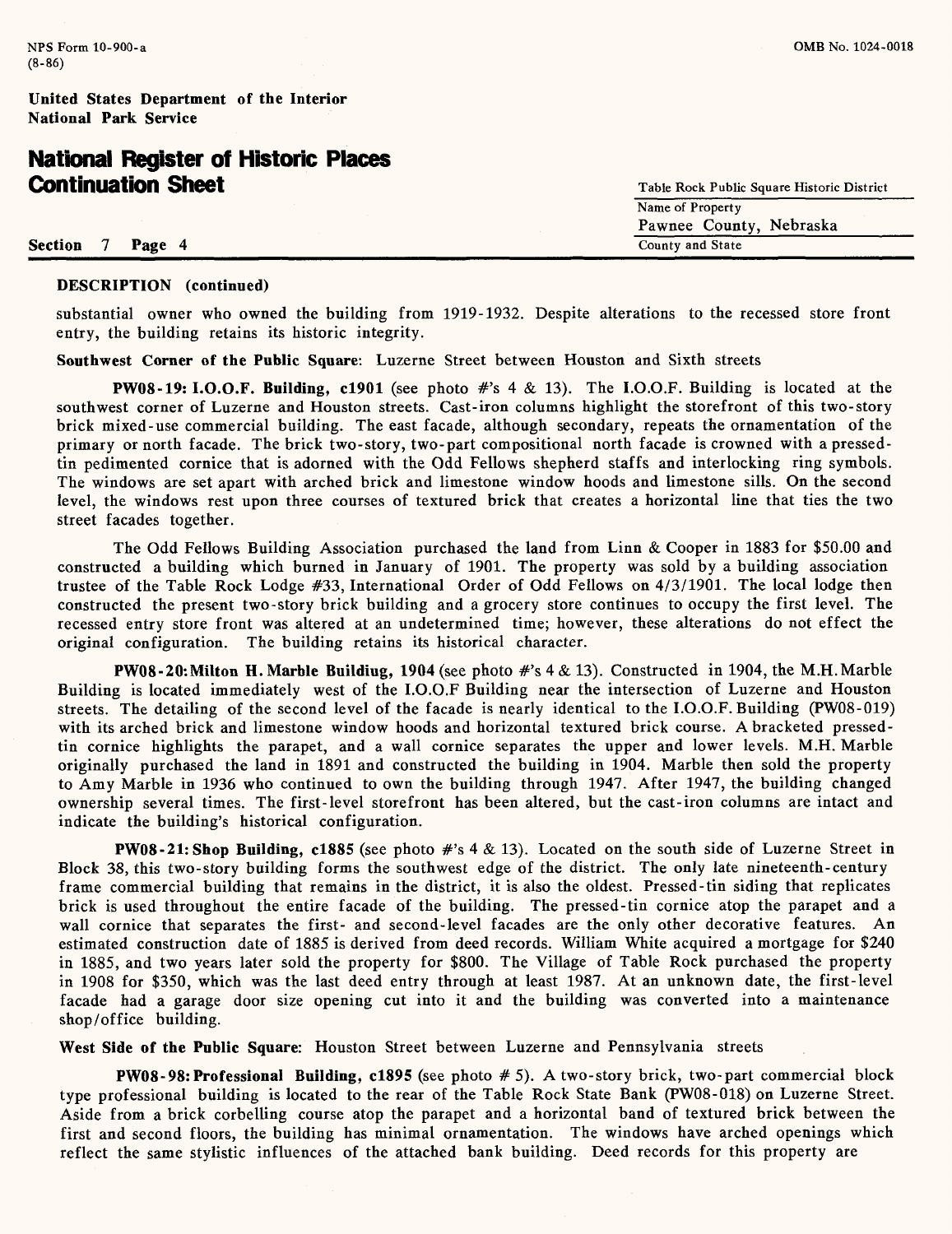| Continuation Sheet | Table Rock Public Square Historic District |  |  |
|--------------------|--------------------------------------------|--|--|
|                    | Name of Property                           |  |  |
|                    | Pawnee County, Nebraska                    |  |  |
| Section<br>Page 4  | County and State                           |  |  |

### **DESCRIPTION (continued)**

substantial owner who owned the building from 1919-1932. Despite alterations to the recessed store front entry, the building retains its historic integrity.

**Southwest Corner of the Public Square:** Luzerne Street between Houston and Sixth streets

**PW08-19: I.O.O.F. Building, c!901** (see photo #'s 4 & 13). The I.O.O.F. Building is located at the southwest corner of Luzerne and Houston streets. Cast-iron columns highlight the storefront of this two-story brick mixed-use commercial building. The east facade, although secondary, repeats the ornamentation of the primary or north facade. The brick two-story, two-part compositional north facade is crowned with apressedtin pedimented cornice that is adorned with the Odd Fellows shepherd staffs and interlocking ring symbols. The windows are set apart with arched brick and limestone window hoods and limestone sills. On the second level, the windows rest upon three courses of textured brick that creates a horizontal line that ties the two street facades together.

The Odd Fellows Building Association purchased the land from Linn & Cooper in 1883 for \$50.00 and constructed a building which burned in January of 1901. The property was sold by a building association trustee of the Table Rock Lodge #33, International Order of Odd Fellows on 4/3/1901. The local lodge then constructed the present two-story brick building and a grocery store continues to occupy the first level. The recessed entry store front was altered at an undetermined time; however, these alterations do not effect the original configuration. The building retains its historical character.

**PW08-20:Milton H. Marble Building, 1904** (see photo #'s 4 & 13). Constructed in 1904, the M.H. Marble Building is located immediately west of the I.O.O.F Building near the intersection of Luzerne and Houston streets. The detailing of the second level of the facade is nearly identical to the I.O.O.F. Building (PW08-019) with its arched brick and limestone window hoods and horizontal textured brick course. A bracketed pressedtin cornice highlights the parapet, and a wall cornice separates the upper and lower levels. M.H. Marble originally purchased the land in 1891 and constructed the building in 1904. Marble then sold the property to Amy Marble in 1936 who continued to own the building through 1947. After 1947, the building changed ownership several times. The first-level storefront has been altered, but the cast-iron columns are intact and indicate the building's historical configuration.

**PW08-21:Shop Building,** c!885 (see photo #'s 4 & 13). Located on the south side of Luzerne Street in Block 38, this two-story building forms the southwest edge of the district. The only late nineteenth-century frame commercial building that remains in the district, it is also the oldest. Pressed-tin siding that replicates brick is used throughout the entire facade of the building. The pressed-tin cornice atop the parapet and a wall cornice that separates the first- and second-level facades are the only other decorative features. An estimated construction date of 1885 is derived from deed records. William White acquired a mortgage for \$240 in 1885, and two years later sold the property for \$800. The Village of Table Rock purchased the property in 1908 for \$350, which was the last deed entry through at least 1987. At an unknown date, the first-level facade had a garage door size opening cut into it and the building was converted into a maintenance shop/office building.

**West Side of the Public Square:** Houston Street between Luzerne and Pennsylvania streets

**PW08-98: Professional Building, c!895** (see photo #5). A two-story brick, two-part commercial block type professional building is located to the rear of the Table Rock State Bank (PW08-018) on Luzerne Street. Aside from a brick corbelling course atop the parapet and a horizontal band of textured brick between the first and second floors, the building has minimal ornamentation. The windows have arched openings which reflect the same stylistic influences of the attached bank building. Deed records for this property are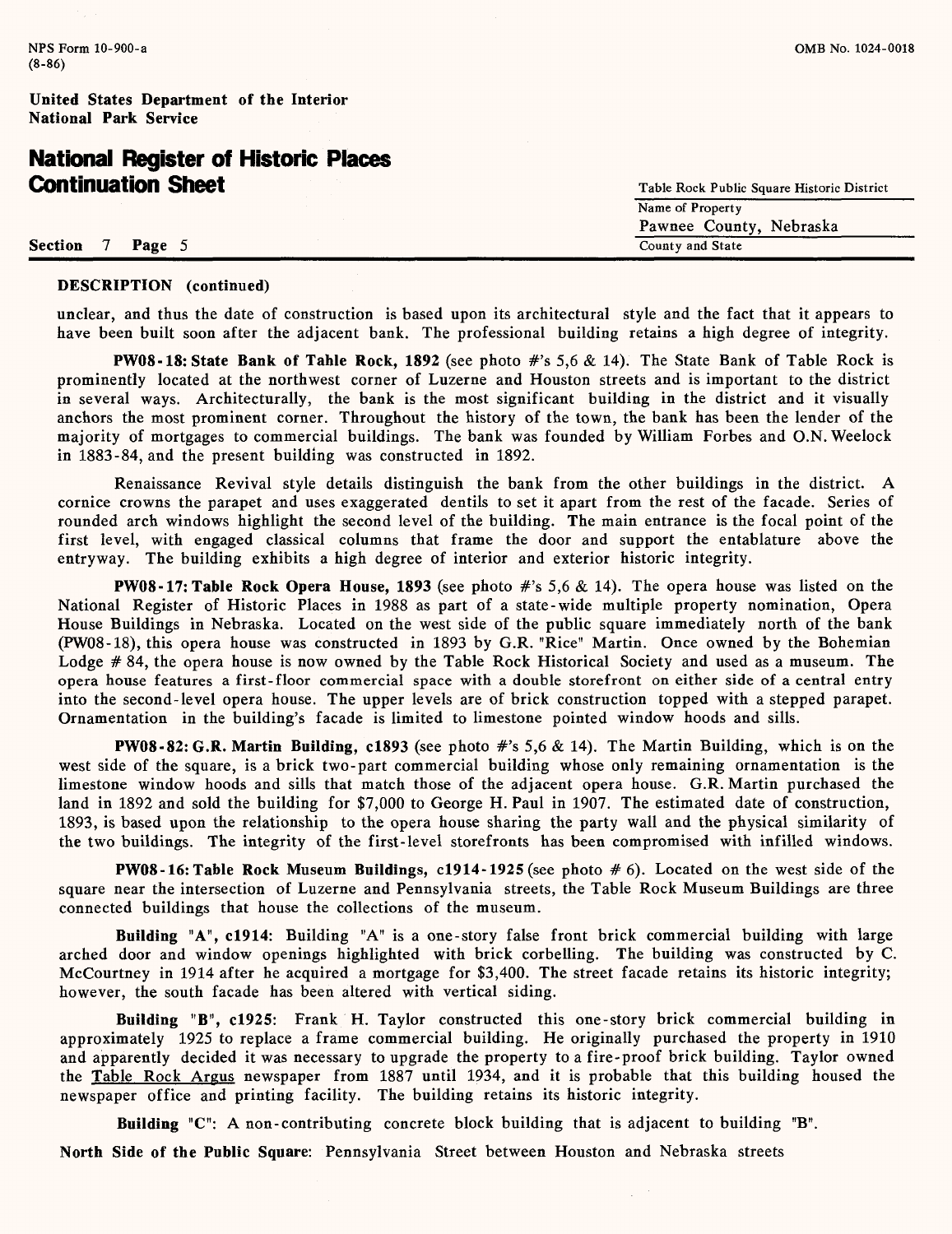## **National Register of Historic Places Continuation Sheet**

| <b>Continuation Sneet</b> | Table Rock Public Square Historic District |
|---------------------------|--------------------------------------------|
|                           | Name of Property                           |
|                           | Pawnee County, Nebraska                    |
| Section<br>Page 5         | County and State                           |

#### **DESCRIPTION (continued)**

unclear, and thus the date of construction is based upon its architectural style and the fact that it appears to have been built soon after the adjacent bank. The professional building retains a high degree of integrity.

**PW08-18: State Bank of Table Rock, 1892** (see photo #'s 5,6 & 14). The State Bank of Table Rock is prominently located at the northwest corner of Luzerne and Houston streets and is important to the district in several ways. Architecturally, the bank is the most significant building in the district and it visually anchors the most prominent corner. Throughout the history of the town, the bank has been the lender of the majority of mortgages to commercial buildings. The bank was founded by William Forbes and O.N. Weelock in 1883-84, and the present building was constructed in 1892.

Renaissance Revival style details distinguish the bank from the other buildings in the district. A cornice crowns the parapet and uses exaggerated dentils to set it apart from the rest of the facade. Series of rounded arch windows highlight the second level of the building. The main entrance is the focal point of the first level, with engaged classical columns that frame the door and support the entablature above the entryway. The building exhibits a high degree of interior and exterior historic integrity.

**PW08-17: Table Rock Opera House, 1893** (see photo #'s 5,6 & 14). The opera house was listed on the National Register of Historic Places in 1988 as part of a state-wide multiple property nomination, Opera House Buildings in Nebraska. Located on the west side of the public square immediately north of the bank (PW08-18), this opera house was constructed in 1893 by G.R. "Rice" Martin. Once owned by the Bohemian Lodge # 84, the opera house is now owned by the Table Rock Historical Society and used as a museum. The opera house features a first-floor commercial space with a double storefront on either side of a central entry into the second-level opera house. The upper levels are of brick construction topped with a stepped parapet. Ornamentation in the building's facade is limited to limestone pointed window hoods and sills.

**PW08-82:G.R. Martin Building, c!893** (see photo #'s 5,6 & 14). The Martin Building, which is on the west side of the square, is a brick two-part commercial building whose only remaining ornamentation is the limestone window hoods and sills that match those of the adjacent opera house. G.R. Martin purchased the land in 1892 and sold the building for \$7,000 to George H. Paul in 1907. The estimated date of construction, 1893, is based upon the relationship to the opera house sharing the party wall and the physical similarity of the two buildings. The integrity of the first-level storefronts has been compromised with infilled windows.

**PW08-16: Table Rock Museum Buildings, c!914-1925 (see** photo #6). Located on the west side of the square near the intersection of Luzerne and Pennsylvania streets, the Table Rock Museum Buildings are three connected buildings that house the collections of the museum.

**Building "A", c!914:** Building "A" is a one-story false front brick commercial building with large arched door and window openings highlighted with brick corbelling. The building was constructed by C. McCourtney in 1914 after he acquired a mortgage for \$3,400. The street facade retains its historic integrity; however, the south facade has been altered with vertical siding.

**Building "B", c!925:** Frank H. Taylor constructed this one-story brick commercial building in approximately 1925 to replace a frame commercial building. He originally purchased the property in 1910 and apparently decided it was necessary to upgrade the property to a fire-proof brick building. Taylor owned the Table Rock Argus newspaper from 1887 until 1934, and it is probable that this building housed the newspaper office and printing facility. The building retains its historic integrity.

**Building** "C": A non-contributing concrete block building that is adjacent to building "B".

**North Side of the Public Square:** Pennsylvania Street between Houston and Nebraska streets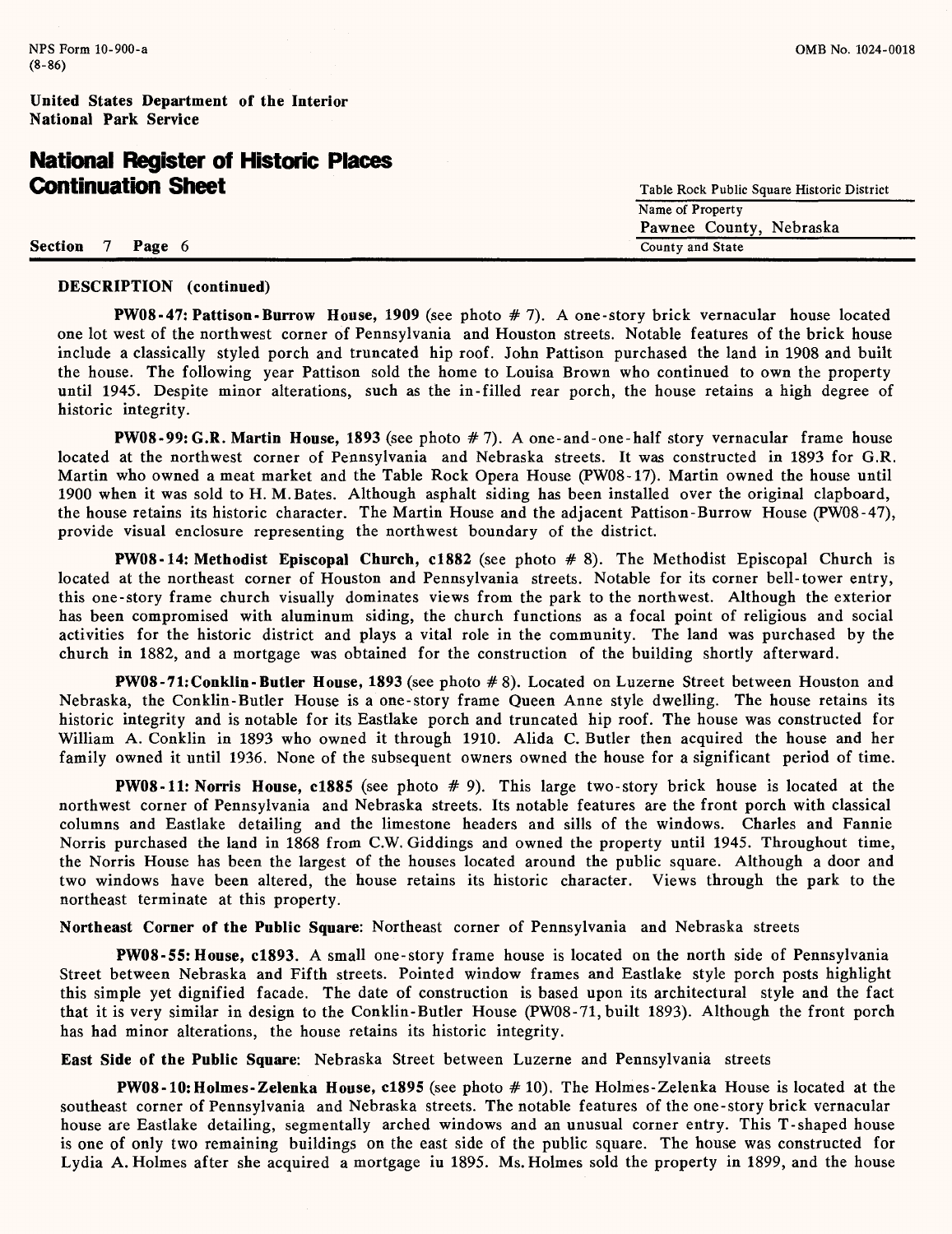| Continuation Sneet | Table Rock Public Square Historic District |
|--------------------|--------------------------------------------|
|                    | Name of Property                           |
|                    | Pawnee County, Nebraska                    |
| Section<br>Page 6  | County and State                           |
|                    |                                            |

### **DESCRIPTION (continued)**

**PW08 47: Pattison- Burrow House,** 1909 **(see** photo #7). A one-story brick vernacular house located one lot west of the northwest corner of Pennsylvania and Houston streets. Notable features of the brick house include a classically styled porch and truncated hip roof. John Pattison purchased the land in 1908 and built the house. The following year Pattison sold the home to Louisa Brown who continued to own the property until 1945. Despite minor alterations, such as the in-filled rear porch, the house retains a high degree of historic integrity.

**PW08 - 99: G.R. Martin House, 1893** (see photo #7). A one-and-one-half story vernacular frame house located at the northwest corner of Pennsylvania and Nebraska streets. It was constructed in 1893 for G.R. Martin who owned a meat market and the Table Rock Opera House (PW08-17). Martin owned the house until 1900 when it was sold to H. M. Bates. Although asphalt siding has been installed over the original clapboard, the house retains its historic character. The Martin House and the adjacent Pattison-Burrow House (PW08-47), provide visual enclosure representing the northwest boundary of the district.

**PW08-14: Methodist Episcopal Church, c!882** (see photo # 8). The Methodist Episcopal Church is located at the northeast corner of Houston and Pennsylvania streets. Notable for its corner bell-tower entry, this one-story frame church visually dominates views from the park to the northwest. Although the exterior has been compromised with aluminum siding, the church functions as a focal point of religious and social activities for the historic district and plays a vital role in the community. The land was purchased by the church in 1882, and a mortgage was obtained for the construction of the building shortly afterward.

**PW08-71:Conklin-Butler House,** 1893 (see photo #8). Located on Luzerne Street between Houston and Nebraska, the Conklin-Butler House is a one-story frame Queen Anne style dwelling. The house retains its historic integrity and is notable for its Eastlake porch and truncated hip roof. The house was constructed for William A. Conklin in 1893 who owned it through 1910. Alida C. Butler then acquired the house and her family owned it until 1936. None of the subsequent owners owned the house for a significant period of time.

**PW08-11: Norris House, c!885** (see photo # 9). This large two-story brick house is located at the northwest corner of Pennsylvania and Nebraska streets. Its notable features are the front porch with classical columns and Eastlake detailing and the limestone headers and sills of the windows. Charles and Fannie Norris purchased the land in 1868 from C.W. Giddings and owned the property until 1945. Throughout time, the Norris House has been the largest of the houses located around the public square. Although a door and two windows have been altered, the house retains its historic character. Views through the park to the northeast terminate at this property.

**Northeast Corner of the Public Square:** Northeast corner of Pennsylvania and Nebraska streets

**PW08-55: House, c!893.** A small one-story frame house is located on the north side of Pennsylvania Street between Nebraska and Fifth streets. Pointed window frames and Eastlake style porch posts highlight this simple yet dignified facade. The date of construction is based upon its architectural style and the fact that it is very similar in design to the Conklin-Butler House (PW08-71, built 1893). Although the front porch has had minor alterations, the house retains its historic integrity.

**East Side of the Public Square:** Nebraska Street between Luzerne and Pennsylvania streets

**PW08-10:Holmes-Zelenka House, c!895** (see photo # 10). The Holmes-Zelenka House is located at the southeast corner of Pennsylvania and Nebraska streets. The notable features of the one-story brick vernacular house are Eastlake detailing, segmentally arched windows and an unusual corner entry. This T-shaped house is one of only two remaining buildings on the east side of the public square. The house was constructed for Lydia A. Holmes after she acquired a mortgage in 1895. Ms. Holmes sold the property in 1899, and the house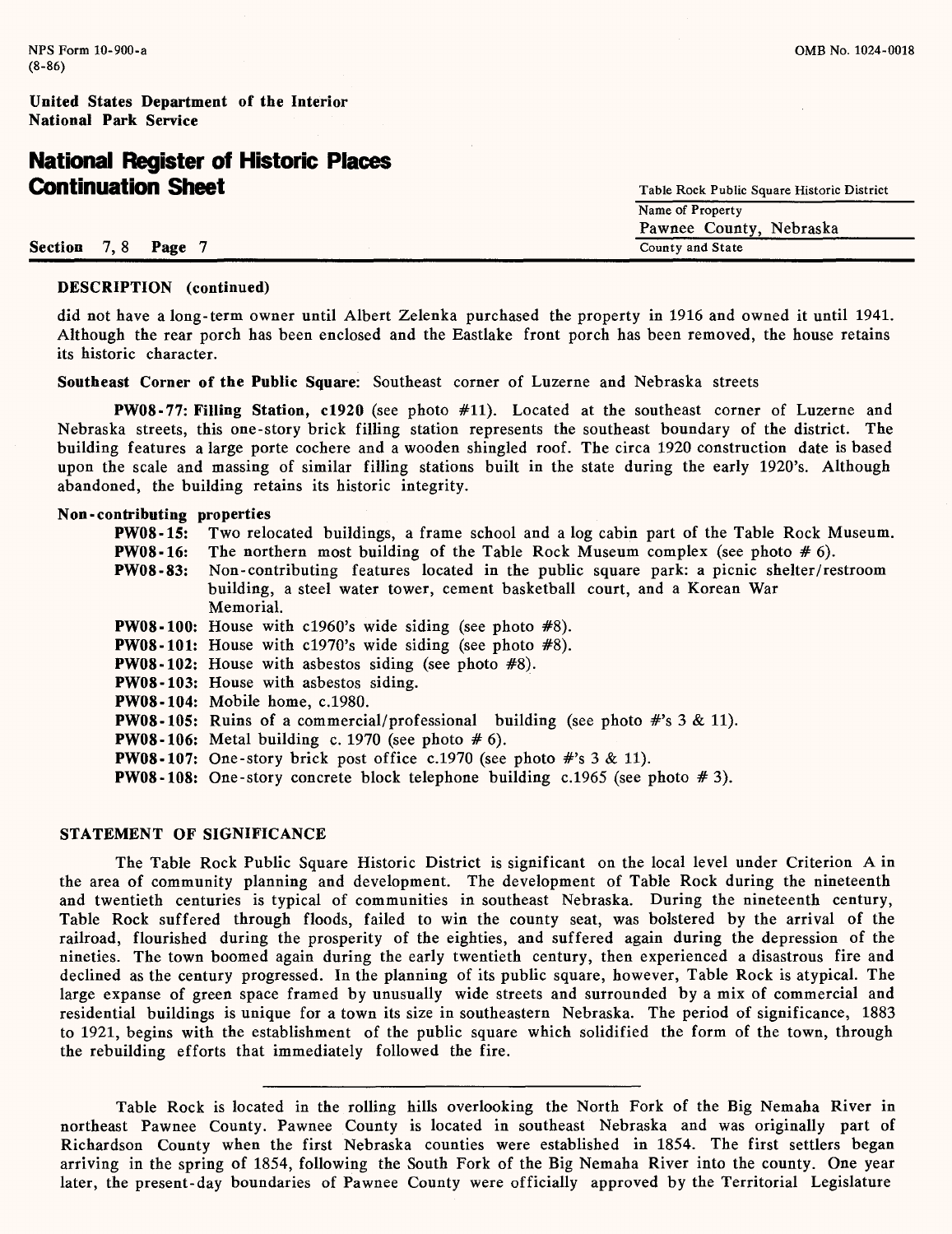| Continuation Sneet |  |        |  |  |  |  | Table Rock Public Square Historic District |                         |
|--------------------|--|--------|--|--|--|--|--------------------------------------------|-------------------------|
|                    |  |        |  |  |  |  |                                            | Name of Property        |
|                    |  |        |  |  |  |  |                                            | Pawnee County, Nebraska |
| Section 7, 8       |  | Page 7 |  |  |  |  |                                            | County and State        |

### **DESCRIPTION (continued)**

did not have a long-term owner until Albert Zelenka purchased the property in 1916 and owned it until 1941. Although the rear porch has been enclosed and the Eastlake front porch has been removed, the house retains its historic character.

**Southeast Corner of the Public Square:** Southeast corner of Luzerne and Nebraska streets

**PW08-77: Filling Station, c!920** (see photo #11). Located at the southeast corner of Luzerne and Nebraska streets, this one-story brick filling station represents the southeast boundary of the district. The building features a large porte cochere and a wooden shingled roof. The circa 1920 construction date is based upon the scale and massing of similar filling stations built in the state during the early 1920's. Although abandoned, the building retains its historic integrity.

#### **Non - contributing properties**

**PW08-15:** Two relocated buildings, a frame school and a log cabin part of the Table Rock Museum. **PW08-16:** The northern most building of the Table Rock Museum complex (see photo # 6). **PW08-83:** Non-contributing features located in the public square park: a picnic shelter/restroom building, a steel water tower, cement basketball court, and a Korean War Memorial. PW08-100: House with c1960's wide siding (see photo #8). **PW08-101:** House with c1970's wide siding (see photo #8). **PW08-102:** House with asbestos siding (see photo #8). **PW08-103:** House with asbestos siding. **PW08-104:** Mobile home, c.1980. **PW08-105:** Ruins of a commercial/professional building (see photo #'s 3 & 11). **PW08-106:** Metal building c. 1970 (see photo # 6). **PW08-107:** One-story brick post office c.1970 (see photo #'s 3 & 11). **PW08-108:** One-story concrete block telephone building c.1965 (see photo #3).

### **STATEMENT OF SIGNIFICANCE**

The Table Rock Public Square Historic District is significant on the local level under Criterion A in the area of community planning and development. The development of Table Rock during the nineteenth and twentieth centuries is typical of communities in southeast Nebraska. During the nineteenth century, Table Rock suffered through floods, failed to win the county seat, was bolstered by the arrival of the railroad, flourished during the prosperity of the eighties, and suffered again during the depression of the nineties. The town boomed again during the early twentieth century, then experienced a disastrous fire and declined as the century progressed. In the planning of its public square, however, Table Rock is atypical. The large expanse of green space framed by unusually wide streets and surrounded by a mix of commercial and residential buildings is unique for a town its size in southeastern Nebraska. The period of significance, 1883 to 1921, begins with the establishment of the public square which solidified the form of the town, through the rebuilding efforts that immediately followed the fire.

Table Rock is located in the rolling hills overlooking the North Fork of the Big Nemaha River in northeast Pawnee County. Pawnee County is located in southeast Nebraska and was originally part of Richardson County when the first Nebraska counties were established in 1854. The first settlers began arriving in the spring of 1854, following the South Fork of the Big Nemaha River into the county. One year later, the present-day boundaries of Pawnee County were officially approved by the Territorial Legislature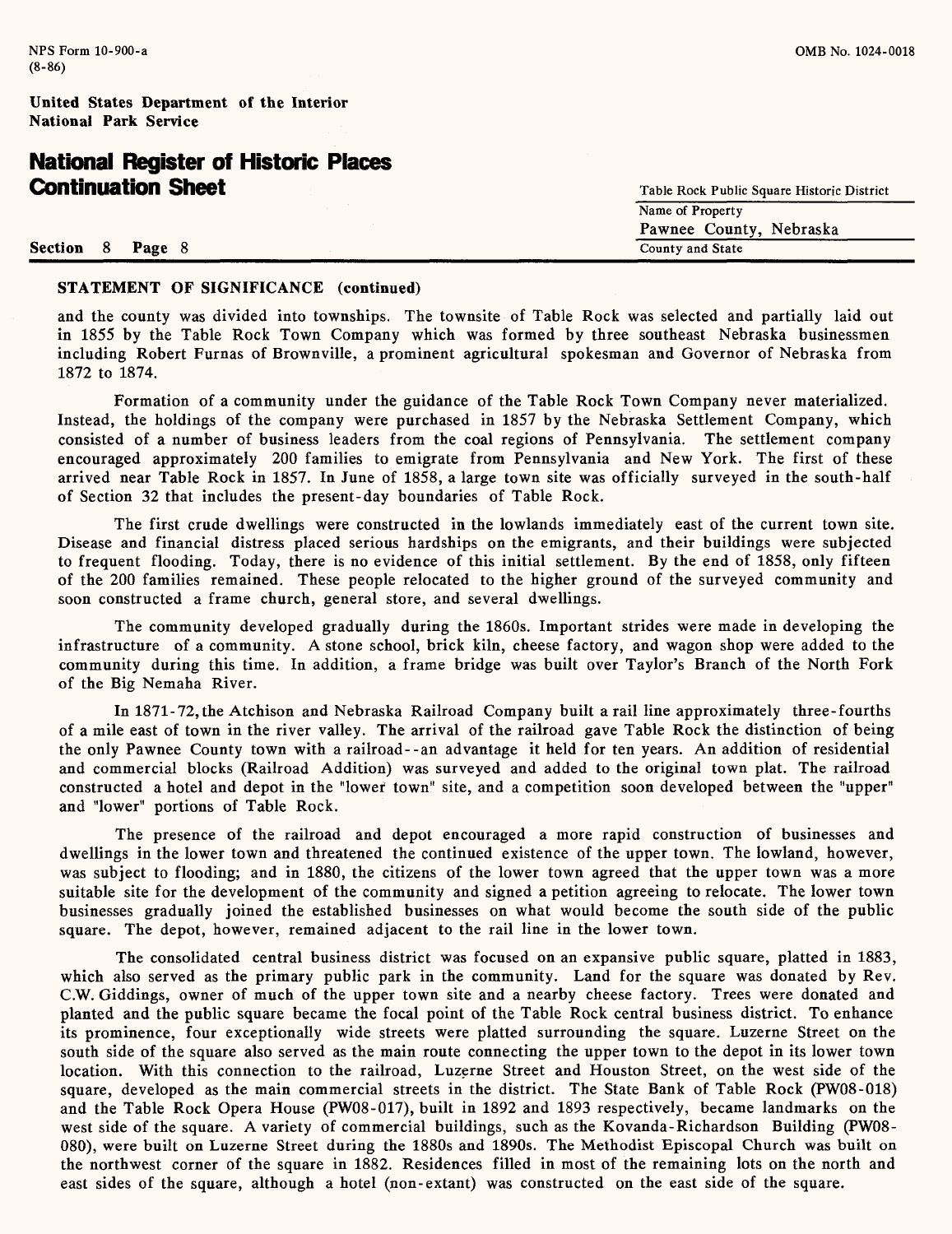### **National Register of Historic Places Continuation Sheet**

| Table Rock Public Square Historic District |  |  |
|--------------------------------------------|--|--|
| Name of Property                           |  |  |
| Pawnee County, Nebraska                    |  |  |
| County and State                           |  |  |
|                                            |  |  |

### **STATEMENT OF SIGNIFICANCE (continued)**

and the county was divided into townships. The townsite of Table Rock was selected and partially laid out in 1855 by the Table Rock Town Company which was formed by three southeast Nebraska businessmen including Robert Furnas of Brownville, a prominent agricultural spokesman and Governor of Nebraska from 1872 to 1874.

Formation of a community under the guidance of the Table Rock Town Company never materialized. Instead, the holdings of the company were purchased in 1857 by the Nebraska Settlement Company, which consisted of a number of business leaders from the coal regions of Pennsylvania. The settlement company encouraged approximately 200 families to emigrate from Pennsylvania and New York. The first of these arrived near Table Rock in 1857. In June of 1858, a large town site was officially surveyed in the south-half of Section 32 that includes the present-day boundaries of Table Rock.

The first crude dwellings were constructed in the lowlands immediately east of the current town site. Disease and financial distress placed serious hardships on the emigrants, and their buildings were subjected to frequent flooding. Today, there is no evidence of this initial settlement. By the end of 1858, only fifteen of the 200 families remained. These people relocated to the higher ground of the surveyed community and soon constructed a frame church, general store, and several dwellings.

The community developed gradually during the 1860s. Important strides were made in developing the infrastructure of a community. A stone school, brick kiln, cheese factory, and wagon shop were added to the community during this time. In addition, a frame bridge was built over Taylor's Branch of the North Fork of the Big Nemaha River.

In 1871-72, the Atchison and Nebraska Railroad Company built a rail line approximately three-fourths of a mile east of town in the river valley. The arrival of the railroad gave Table Rock the distinction of being the only Pawnee County town with a railroad--an advantage it held for ten years. An addition of residential and commercial blocks (Railroad Addition) was surveyed and added to the original town plat. The railroad constructed a hotel and depot in the "lower town" site, and a competition soon developed between the "upper" and "lower" portions of Table Rock.

The presence of the railroad and depot encouraged a more rapid construction of businesses and dwellings in the lower town and threatened the continued existence of the upper town. The lowland, however, was subject to flooding; and in 1880, the citizens of the lower town agreed that the upper town was a more suitable site for the development of the community and signed a petition agreeing to relocate. The lower town businesses gradually joined the established businesses on what would become the south side of the public square. The depot, however, remained adjacent to the rail line in the lower town.

The consolidated central business district was focused on an expansive public square, platted in 1883, which also served as the primary public park in the community. Land for the square was donated by Rev. C.W. Giddings, owner of much of the upper town site and a nearby cheese factory. Trees were donated and planted and the public square became the focal point of the Table Rock central business district. To enhance its prominence, four exceptionally wide streets were platted surrounding the square. Luzerne Street on the south side of the square also served as the main route connecting the upper town to the depot in its lower town location. With this connection to the railroad, Luzerne Street and Houston Street, on the west side of the square, developed as the main commercial streets in the district. The State Bank of Table Rock (PW08-018) and the Table Rock Opera House (PW08-017), built in 1892 and 1893 respectively, became landmarks on the west side of the square. A variety of commercial buildings, such as the Kovanda-Richardson Building (PW08- 080), were built on Luzerne Street during the 1880s and 1890s. The Methodist Episcopal Church was built on the northwest corner of the square in 1882. Residences filled in most of the remaining lots on the north and east sides of the square, although a hotel (non-extant) was constructed on the east side of the square.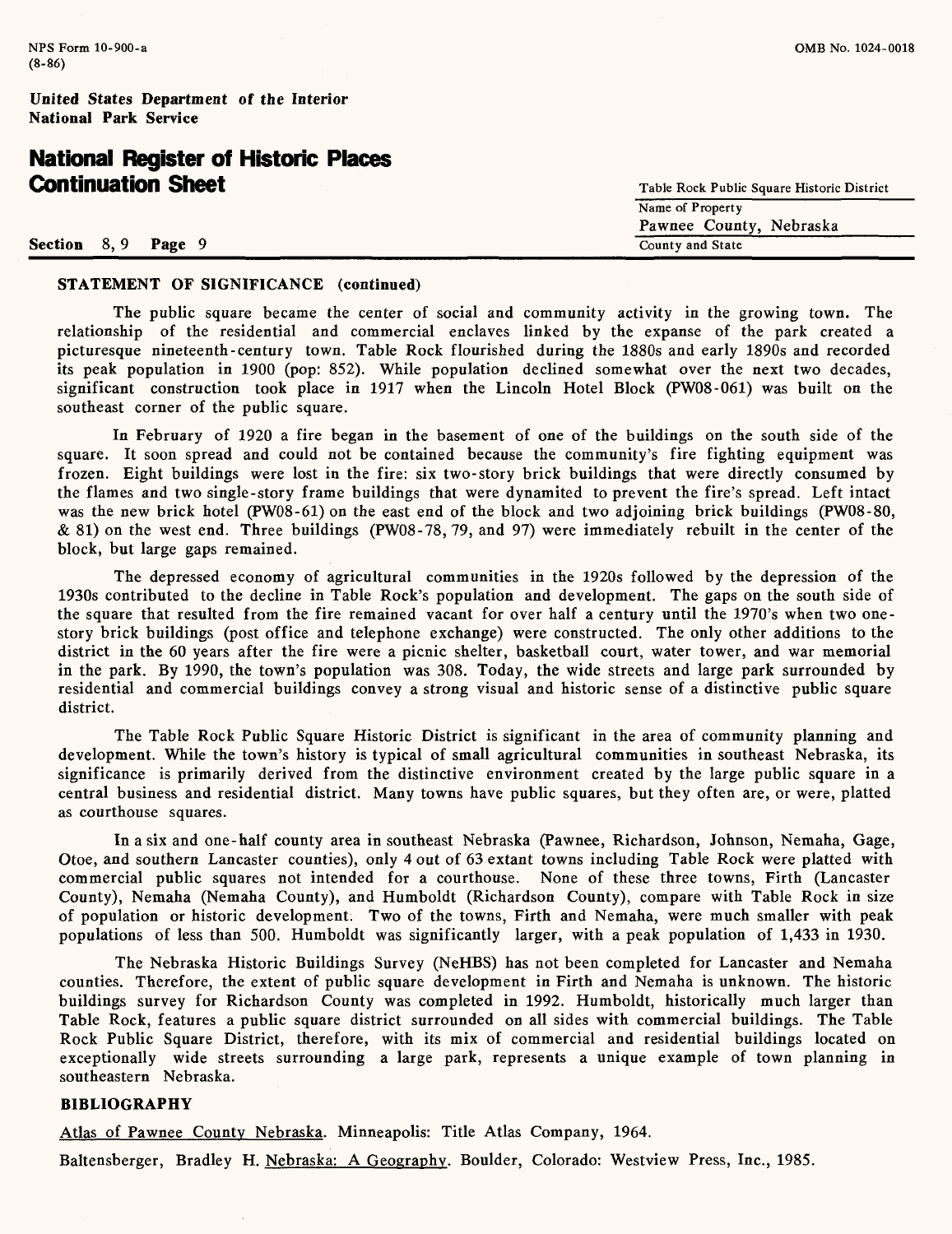| Continuation Sheet | Table Rock Public Square Historic District |  |  |
|--------------------|--------------------------------------------|--|--|
|                    | Name of Property                           |  |  |
|                    | Pawnee County, Nebraska                    |  |  |
| Section 8,9 Page 9 | County and State                           |  |  |

### **STATEMENT OF SIGNIFICANCE (continued)**

The public square became the center of social and community activity in the growing town. The relationship of the residential and commercial enclaves linked by the expanse of the park created a picturesque nineteenth-century town. Table Rock flourished during the 1880s and early 1890s and recorded its peak population in 1900 (pop: 852). While population declined somewhat over the next two decades, significant construction took place in 1917 when the Lincoln Hotel Block (PW08-061) was built on the southeast corner of the public square.

In February of 1920 a fire began in the basement of one of the buildings on the south side of the square. It soon spread and could not be contained because the community's fire fighting equipment was frozen. Eight buildings were lost in the fire: six two-story brick buildings that were directly consumed by the flames and two single-story frame buildings that were dynamited to prevent the fire's spread. Left intact was the new brick hotel (PW08-61) on the east end of the block and two adjoining brick buildings (PW08-80, & 81) on the west end. Three buildings (PW08-78, 79, and 97) were immediately rebuilt in the center of the block, but large gaps remained.

The depressed economy of agricultural communities in the 1920s followed by the depression of the 1930s contributed to the decline in Table Rock's population and development. The gaps on the south side of the square that resulted from the fire remained vacant for over half a century until the 1970's when two onestory brick buildings (post office and telephone exchange) were constructed. The only other additions to the district in the 60 years after the fire were a picnic shelter, basketball court, water tower, and war memorial in the park. By 1990, the town's population was 308. Today, the wide streets and large park surrounded by residential and commercial buildings convey a strong visual and historic sense of a distinctive public square district.

The Table Rock Public Square Historic District is significant in the area of community planning and development. While the town's history is typical of small agricultural communities in southeast Nebraska, its significance is primarily derived from the distinctive environment created by the large public square in a central business and residential district. Many towns have public squares, but they often are, or were, platted as courthouse squares.

In a six and one-half county area in southeast Nebraska (Pawnee, Richardson, Johnson, Nemaha, Gage, Otoe, and southern Lancaster counties), only 4 out of 63 extant towns including Table Rock were platted with commercial public squares not intended for a courthouse. None of these three towns, Firth (Lancaster County), Nemaha (Nemaha County), and Humboldt (Richardson County), compare with Table Rock in size of population or historic development. Two of the towns, Firth and Nemaha, were much smaller with peak populations of less than 500. Humboldt was significantly larger, with a peak population of 1,433 in 1930.

The Nebraska Historic Buildings Survey (NeHBS) has not been completed for Lancaster and Nemaha counties. Therefore, the extent of public square development in Firth and Nemaha is unknown. The historic buildings survey for Richardson County was completed in 1992. Humboldt, historically much larger than Table Rock, features a public square district surrounded on all sides with commercial buildings. The Table Rock Public Square District, therefore, with its mix of commercial and residential buildings located on exceptionally wide streets surrounding a large park, represents a unique example of town planning in southeastern Nebraska.

### **BIBLIOGRAPHY**

Atlas of Pawnee County Nebraska. Minneapolis: Title Atlas Company, 1964.

Baltensberger, Bradley H. Nebraska: A Geography. Boulder, Colorado: Westview Press, Inc., 1985.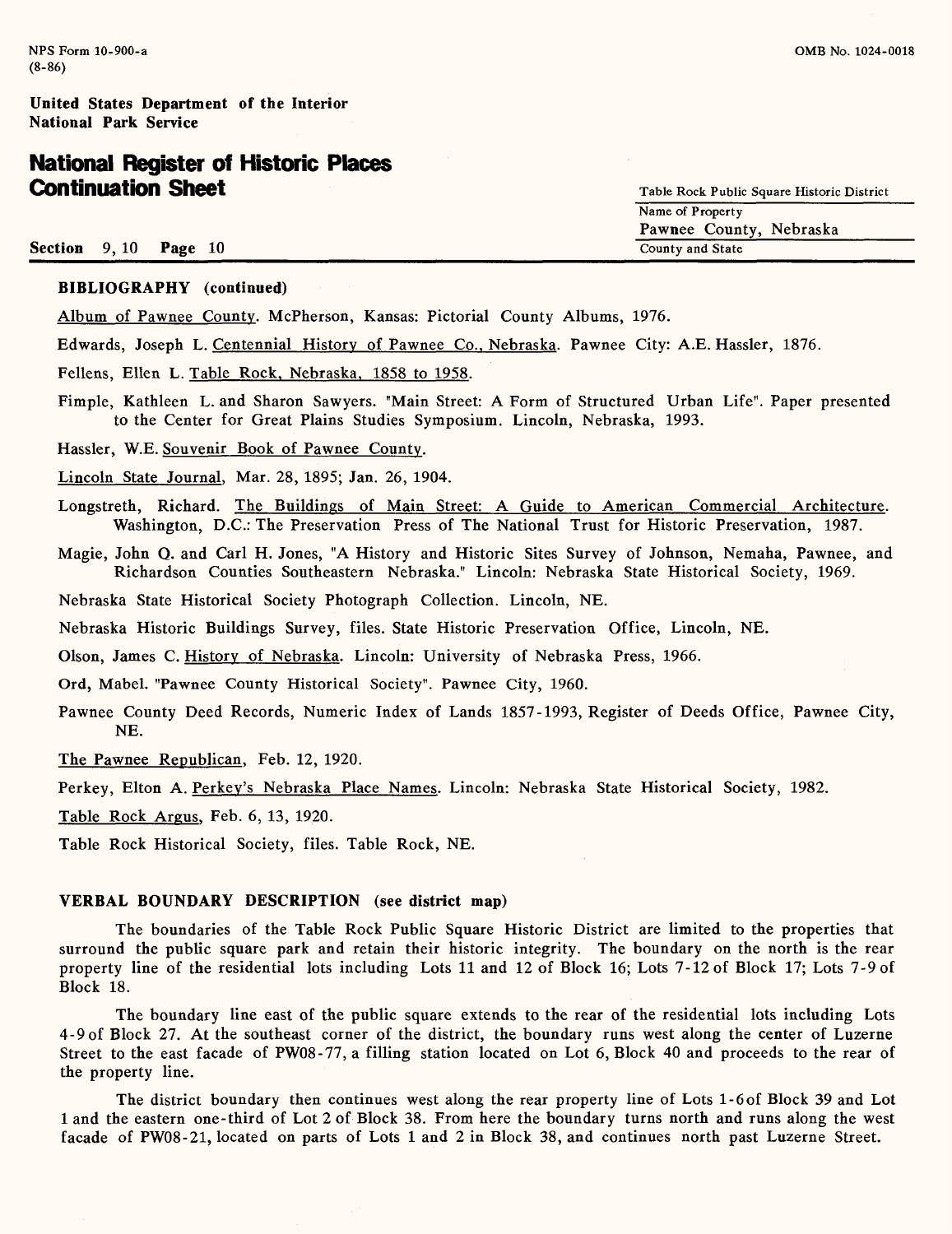**Section** 

## **National Register of Historic Places Contin**

| nuation Sheet       | Table Rock Public Square Historic District |  |  |
|---------------------|--------------------------------------------|--|--|
|                     | Name of Property                           |  |  |
|                     | Pawnee County, Nebraska                    |  |  |
| 9.10 <b>Page</b> 10 | County and State                           |  |  |

#### **BIBLIOGRAPHY (continued)**

Album of Pawnee County. McPherson, Kansas: Pictorial County Albums, 1976.

Edwards, Joseph L. Centennial History of Pawnee Co.. Nebraska. Pawnee City: A.E. Hassler, 1876.

Fellens, Ellen L. Table Rock, Nebraska, 1858 to 1958.

Fimple, Kathleen L. and Sharon Sawyers. "Main Street: A Form of Structured Urban Life". Paper presented to the Center for Great Plains Studies Symposium. Lincoln, Nebraska, 1993.

Hassler, W.E. Souvenir Book of Pawnee County.

Lincoln State Journal, Mar. 28, 1895; Jan. 26, 1904.

- Longstreth, Richard. The Buildings of Main Street: A Guide to American Commercial Architecture. Washington, D.C.: The Preservation Press of The National Trust for Historic Preservation, 1987.
- Magie, John Q. and Carl H. Jones, "A History and Historic Sites Survey of Johnson, Nemaha, Pawnee, and Richardson Counties Southeastern Nebraska." Lincoln: Nebraska State Historical Society, 1969.

Nebraska State Historical Society Photograph Collection. Lincoln, NE.

Nebraska Historic Buildings Survey, files. State Historic Preservation Office, Lincoln, NE.

Olson, James C. History of Nebraska. Lincoln: University of Nebraska Press, 1966.

Ord, Mabel. "Pawnee County Historical Society". Pawnee City, 1960.

Pawnee County Deed Records, Numeric Index of Lands 1857-1993, Register of Deeds Office, Pawnee City, NE.

The Pawnee Republican. Feb. 12, 1920.

Perkey, Elton A. Perkey's Nebraska Place Names. Lincoln: Nebraska State Historical Society, 1982.

Table Rock Argus. Feb. 6, 13, 1920.

Table Rock Historical Society, files. Table Rock, NE.

### **VERBAL BOUNDARY DESCRIPTION** (see **district map)**

The boundaries of the Table Rock Public Square Historic District are limited to the properties that surround the public square park and retain their historic integrity. The boundary on the north is the rear property line of the residential lots including Lots 11 and 12 of Block 16; Lots 7-12 of Block 17; Lots 7-9 of Block 18.

The boundary line east of the public square extends to the rear of the residential lots including Lots 4-9 of Block 27. At the southeast corner of the district, the boundary runs west along the center of Luzerne Street to the east facade of PW08-77, a filling station located on Lot 6, Block 40 and proceeds to the rear of the property line.

The district boundary then continues west along the rear property line of Lots 1-6of Block 39 and Lot 1 and the eastern one-third of Lot 2 of Block 38. From here the boundary turns north and runs along the west facade of PW08-21, located on parts of Lots 1 and 2 in Block 38, and continues north past Luzerne Street.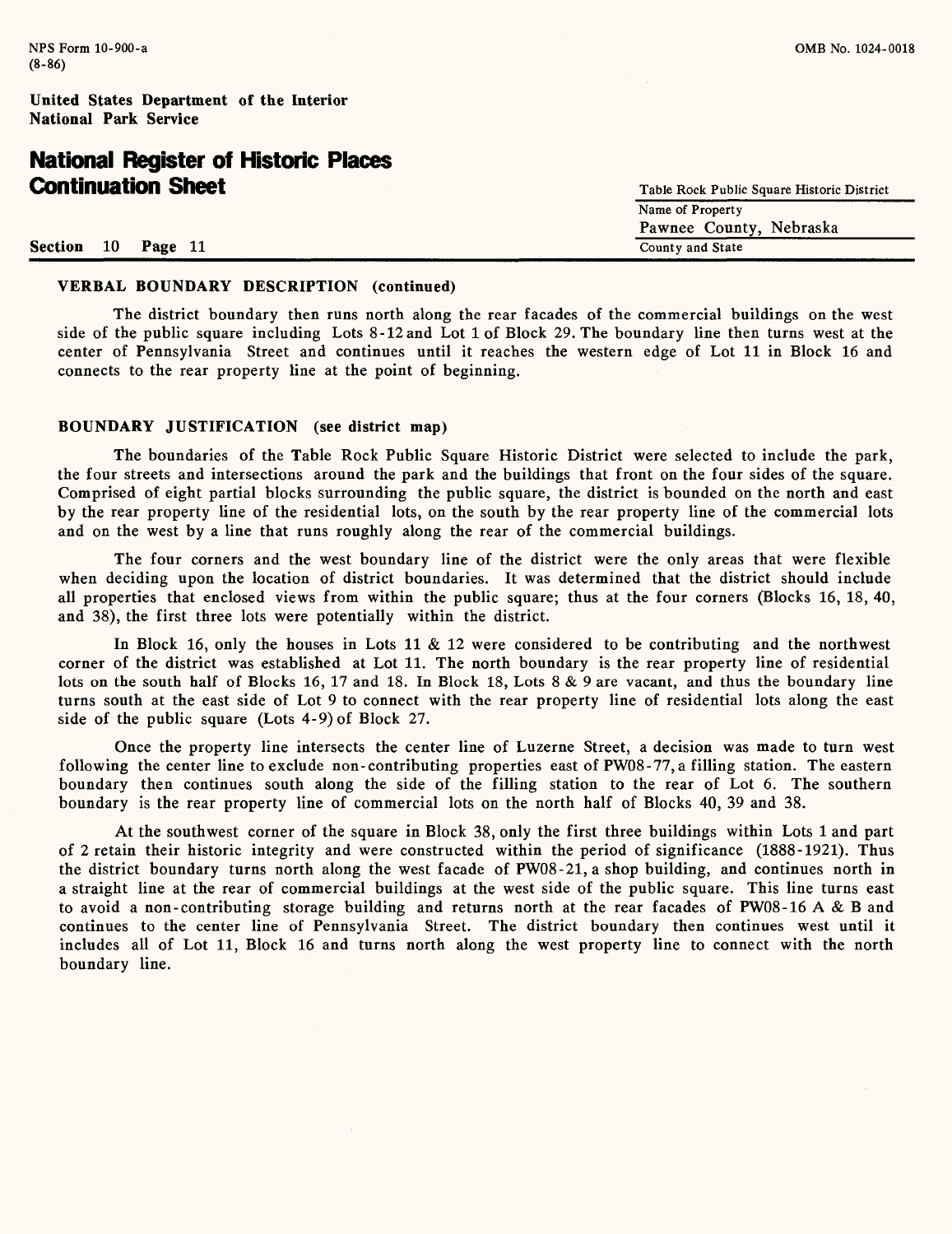## **National Register of Historic Places Continuation Sheet**

County and State

### **Section** 10 **Page** 11

### **VERBAL BOUNDARY DESCRIPTION (continued)**

The district boundary then runs north along the rear facades of the commercial buildings on the west side of the public square including Lots 8-12 and Lot 1 of Block 29. The boundary line then turns west at the center of Pennsylvania Street and continues until it reaches the western edge of Lot 11 in Block 16 and connects to the rear property line at the point of beginning.

### **BOUNDARY JUSTIFICATION** (see **district map)**

The boundaries of the Table Rock Public Square Historic District were selected to include the park, the four streets and intersections around the park and the buildings that front on the four sides of the square. Comprised of eight partial blocks surrounding the public square, the district is bounded on the north and east by the rear property line of the residential lots, on the south by the rear property line of the commercial lots and on the west by a line that runs roughly along the rear of the commercial buildings.

The four corners and the west boundary line of the district were the only areas that were flexible when deciding upon the location of district boundaries. It was determined that the district should include all properties that enclosed views from within the public square; thus at the four corners (Blocks 16, 18, 40, and 38), the first three lots were potentially within the district.

In Block 16, only the houses in Lots 11  $\&$  12 were considered to be contributing and the northwest corner of the district was established at Lot 11. The north boundary is the rear property line of residential lots on the south half of Blocks 16, 17 and 18. In Block 18, Lots 8 & 9 are vacant, and thus the boundary line turns south at the east side of Lot 9 to connect with the rear property line of residential lots along the east side of the public square (Lots 4-9) of Block 27.

Once the property line intersects the center line of Luzerne Street, a decision was made to turn west following the center line to exclude non-contributing properties east of PW08-77, a filling station. The eastern boundary then continues south along the side of the filling station to the rear of Lot 6. The southern boundary is the rear property line of commercial lots on the north half of Blocks 40, 39 and 38.

At the southwest corner of the square in Block 38, only the first three buildings within Lots 1 and part of 2 retain their historic integrity and were constructed within the period of significance (1888-1921). Thus the district boundary turns north along the west facade of PW08-21, a shop building, and continues north in a straight line at the rear of commercial buildings at the west side of the public square. This line turns east to avoid a non-contributing storage building and returns north at the rear facades of PW08-16 A & B and continues to the center line of Pennsylvania Street. The district boundary then continues west until it includes all of Lot 11, Block 16 and turns north along the west property line to connect with the north boundary line.